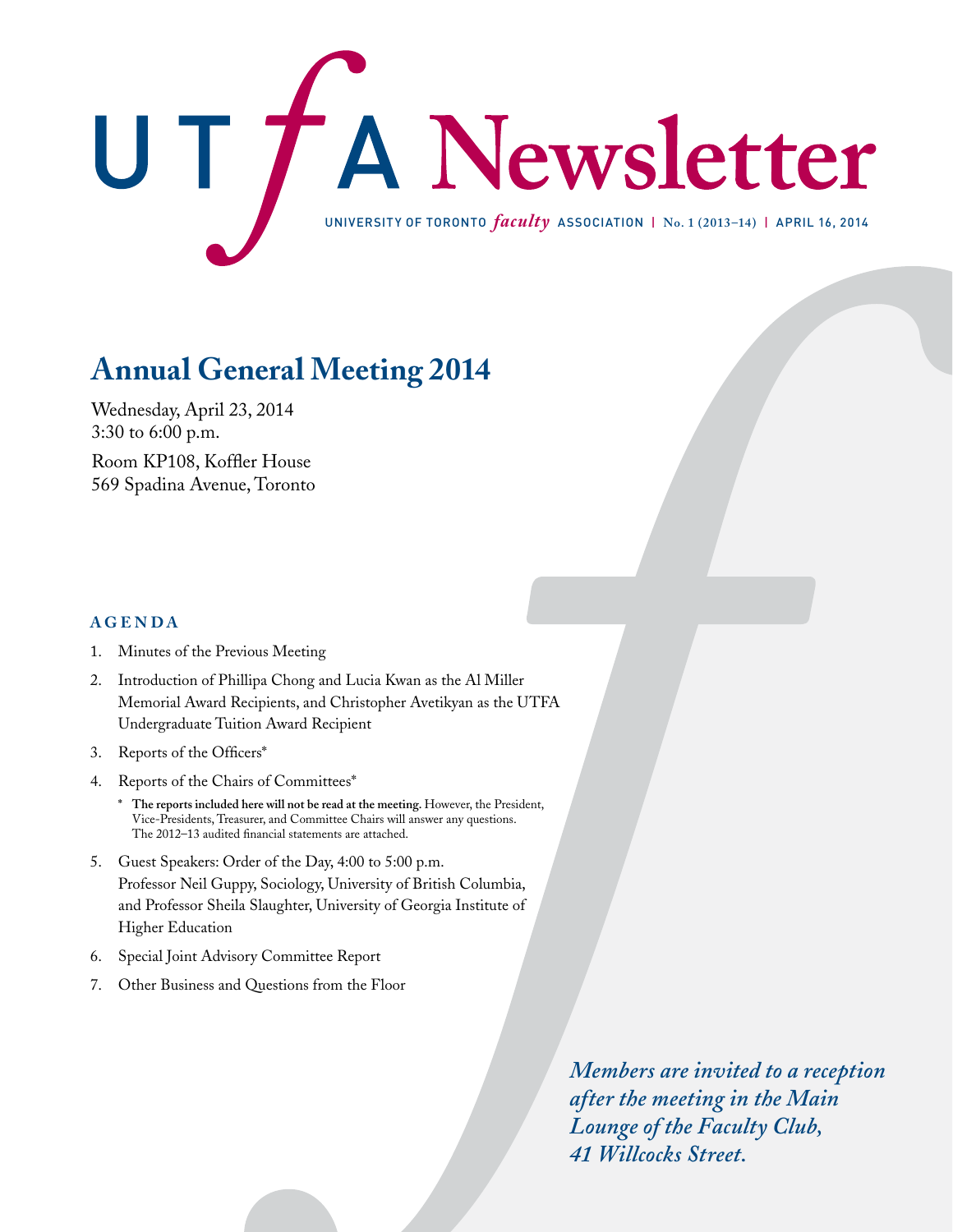

# **Annual General Meeting 2014**

Wednesday, April 23, 2014 3:30 to 6:00 p.m. Room KP108, Koffler House 569 Spadina Avenue, Toronto

## **AGENDA**

- 1. Minutes of the Previous Meeting
- 2. Introduction of Phillipa Chong and Lucia Kwan as the Al Miller Memorial Award Recipients, and Christopher Avetikyan as the UTFA Undergraduate Tuition Award Recipient
- 3. Reports of the Officers\*
- 4. Reports of the Chairs of Committees\*
	- **\* The reports included here will not be read at the meeting.** However, the President, Vice-Presidents, Treasurer, and Committee Chairs will answer any questions. The 2012–13 audited financial statements are attached.
- 5. Guest Speakers: Order of the Day, 4:00 to 5:00 p.m. Professor Neil Guppy, Sociology, University of British Columbia, and Professor Sheila Slaughter, University of Georgia Institute of Higher Education
- 6. Special Joint Advisory Committee Report
- 7. Other Business and Questions from the Floor

*Members are invited to a reception after the meeting in the Main Lounge of the Faculty Club, 41 Willcocks Street.*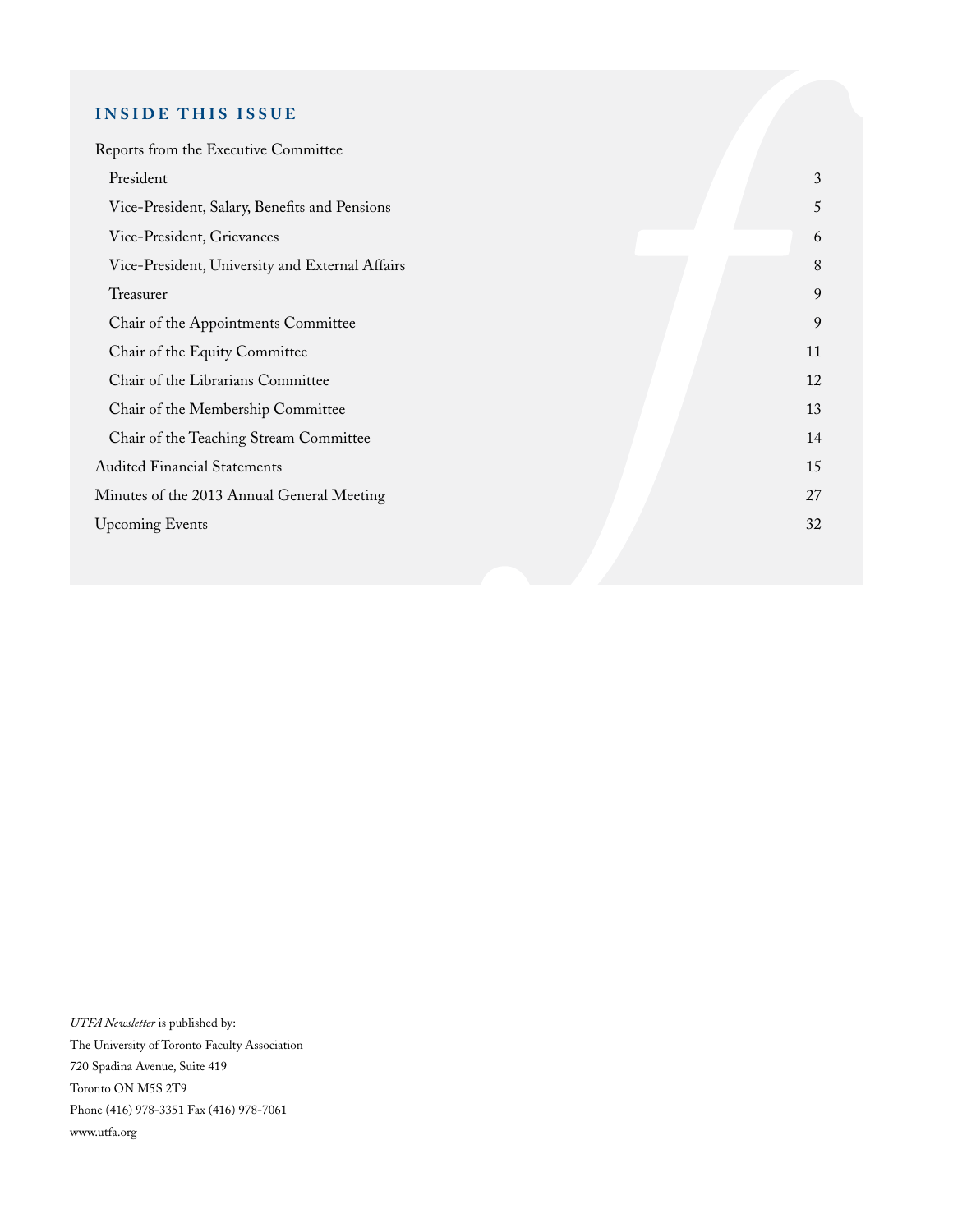## **INSIDE THIS ISSUE**

| Reports from the Executive Committee            |    |
|-------------------------------------------------|----|
| President                                       | 3  |
| Vice-President, Salary, Benefits and Pensions   | 5  |
| Vice-President, Grievances                      | 6  |
| Vice-President, University and External Affairs | 8  |
| Treasurer                                       | 9  |
| Chair of the Appointments Committee             | 9  |
| Chair of the Equity Committee                   | 11 |
| Chair of the Librarians Committee               | 12 |
| Chair of the Membership Committee               | 13 |
| Chair of the Teaching Stream Committee          | 14 |
| <b>Audited Financial Statements</b>             | 15 |
| Minutes of the 2013 Annual General Meeting      | 27 |
| <b>Upcoming Events</b>                          | 32 |
|                                                 |    |

*UTFA Newsletter* is published by: The University of Toronto Faculty Association 720 Spadina Avenue, Suite 419 Toronto ON M5S 2T9 Phone (416) 978-3351 Fax (416) 978-7061 www.utfa.org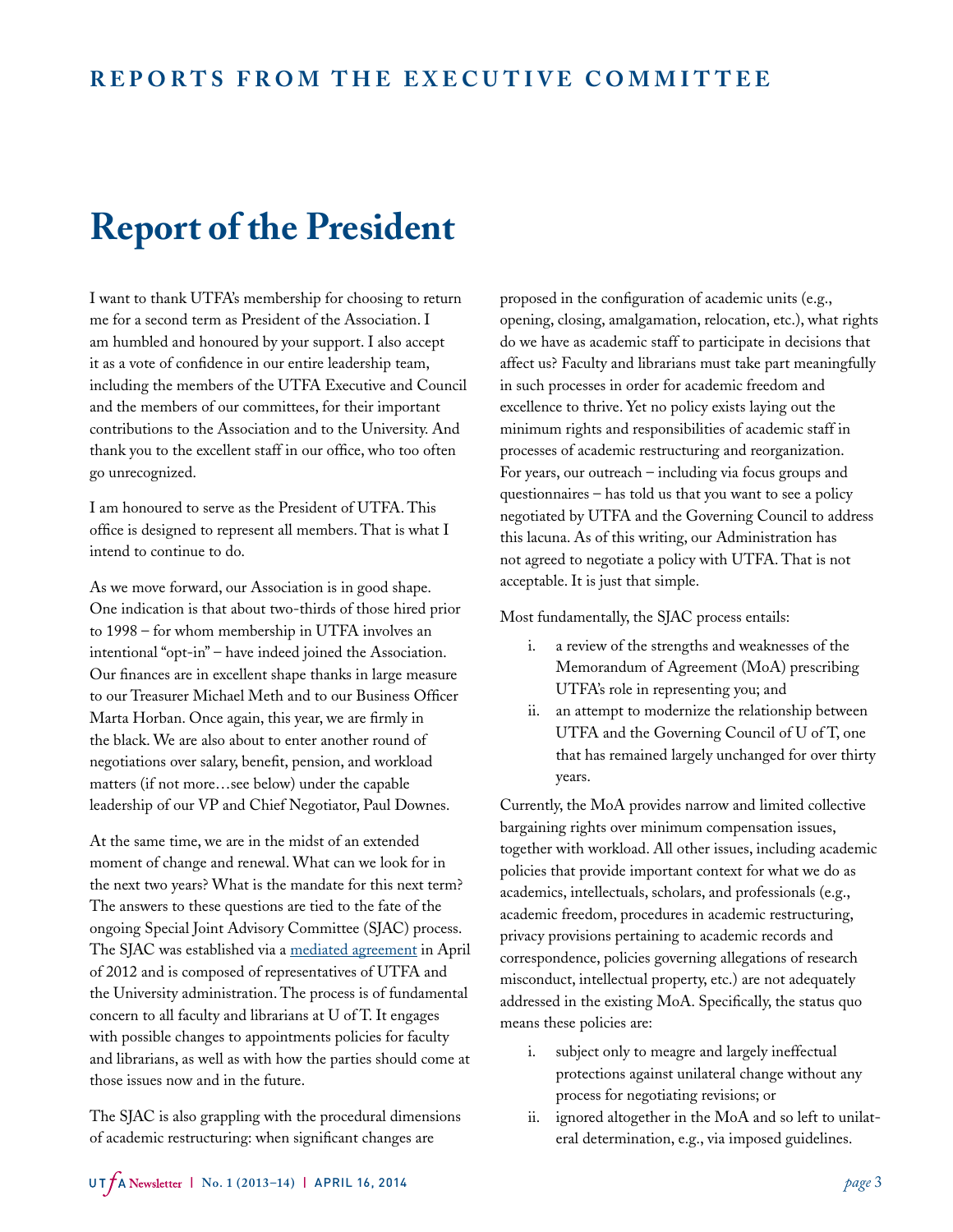# **Report of the President**

I want to thank UTFA's membership for choosing to return me for a second term as President of the Association. I am humbled and honoured by your support. I also accept it as a vote of confidence in our entire leadership team, including the members of the UTFA Executive and Council and the members of our committees, for their important contributions to the Association and to the University. And thank you to the excellent staff in our office, who too often go unrecognized.

I am honoured to serve as the President of UTFA. This office is designed to represent all members. That is what I intend to continue to do.

As we move forward, our Association is in good shape. One indication is that about two-thirds of those hired prior to 1998 – for whom membership in UTFA involves an intentional "opt-in" – have indeed joined the Association. Our finances are in excellent shape thanks in large measure to our Treasurer Michael Meth and to our Business Officer Marta Horban. Once again, this year, we are firmly in the black. We are also about to enter another round of negotiations over salary, benefit, pension, and workload matters (if not more…see below) under the capable leadership of our VP and Chief Negotiator, Paul Downes.

At the same time, we are in the midst of an extended moment of change and renewal. What can we look for in the next two years? What is the mandate for this next term? The answers to these questions are tied to the fate of the ongoing Special Joint Advisory Committee (SJAC) process. The SJAC was established via a [mediated agreement](http://www.utfa.org/sites/default/files/webfiles/pdf_files/2012-April-19-final%20%20SB%26P%20Mediation%20re%20Framework.pdf) in April of 2012 and is composed of representatives of UTFA and the University administration. The process is of fundamental concern to all faculty and librarians at U of T. It engages with possible changes to appointments policies for faculty and librarians, as well as with how the parties should come at those issues now and in the future.

The SJAC is also grappling with the procedural dimensions of academic restructuring: when significant changes are

proposed in the configuration of academic units (e.g., opening, closing, amalgamation, relocation, etc.), what rights do we have as academic staff to participate in decisions that affect us? Faculty and librarians must take part meaningfully in such processes in order for academic freedom and excellence to thrive. Yet no policy exists laying out the minimum rights and responsibilities of academic staff in processes of academic restructuring and reorganization. For years, our outreach – including via focus groups and questionnaires – has told us that you want to see a policy negotiated by UTFA and the Governing Council to address this lacuna. As of this writing, our Administration has not agreed to negotiate a policy with UTFA. That is not acceptable. It is just that simple.

Most fundamentally, the SJAC process entails:

- i. a review of the strengths and weaknesses of the Memorandum of Agreement (MoA) prescribing UTFA's role in representing you; and
- ii. an attempt to modernize the relationship between UTFA and the Governing Council of U of T, one that has remained largely unchanged for over thirty years.

Currently, the MoA provides narrow and limited collective bargaining rights over minimum compensation issues, together with workload. All other issues, including academic policies that provide important context for what we do as academics, intellectuals, scholars, and professionals (e.g., academic freedom, procedures in academic restructuring, privacy provisions pertaining to academic records and correspondence, policies governing allegations of research misconduct, intellectual property, etc.) are not adequately addressed in the existing MoA. Specifically, the status quo means these policies are:

- i. subject only to meagre and largely ineffectual protections against unilateral change without any process for negotiating revisions; or
- ii. ignored altogether in the MoA and so left to unilateral determination, e.g., via imposed guidelines.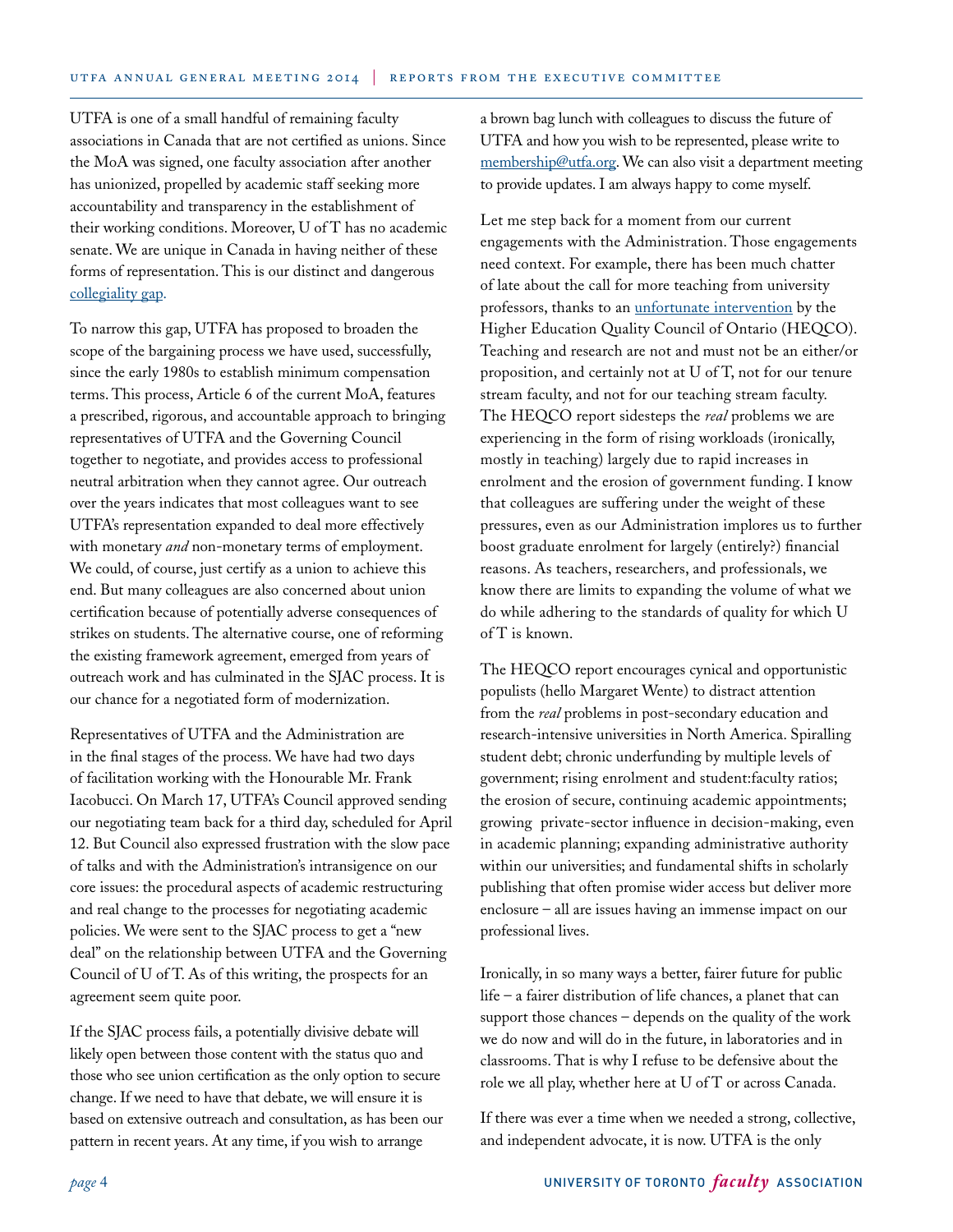UTFA is one of a small handful of remaining faculty associations in Canada that are not certified as unions. Since the MoA was signed, one faculty association after another has unionized, propelled by academic staff seeking more accountability and transparency in the establishment of their working conditions. Moreover, U of T has no academic senate. We are unique in Canada in having neither of these forms of representation. This is our distinct and dangerous [collegiality gap.](http://www.utfa.org/sites/default/files/SJAC%20Information%20Report%20%234.pdf)

To narrow this gap, UTFA has proposed to broaden the scope of the bargaining process we have used, successfully, since the early 1980s to establish minimum compensation terms. This process, Article 6 of the current MoA, features a prescribed, rigorous, and accountable approach to bringing representatives of UTFA and the Governing Council together to negotiate, and provides access to professional neutral arbitration when they cannot agree. Our outreach over the years indicates that most colleagues want to see UTFA's representation expanded to deal more effectively with monetary *and* non-monetary terms of employment. We could, of course, just certify as a union to achieve this end. But many colleagues are also concerned about union certification because of potentially adverse consequences of strikes on students. The alternative course, one of reforming the existing framework agreement, emerged from years of outreach work and has culminated in the SJAC process. It is our chance for a negotiated form of modernization.

Representatives of UTFA and the Administration are in the final stages of the process. We have had two days of facilitation working with the Honourable Mr. Frank Iacobucci. On March 17, UTFA's Council approved sending our negotiating team back for a third day, scheduled for April 12. But Council also expressed frustration with the slow pace of talks and with the Administration's intransigence on our core issues: the procedural aspects of academic restructuring and real change to the processes for negotiating academic policies. We were sent to the SJAC process to get a "new deal" on the relationship between UTFA and the Governing Council of U of T. As of this writing, the prospects for an agreement seem quite poor.

If the SJAC process fails, a potentially divisive debate will likely open between those content with the status quo and those who see union certification as the only option to secure change. If we need to have that debate, we will ensure it is based on extensive outreach and consultation, as has been our pattern in recent years. At any time, if you wish to arrange

a brown bag lunch with colleagues to discuss the future of UTFA and how you wish to be represented, please write to [membership@utfa.org.](mailto:membership@utfa.org) We can also visit a department meeting to provide updates. I am always happy to come myself.

Let me step back for a moment from our current engagements with the Administration. Those engagements need context. For example, there has been much chatter of late about the call for more teaching from university professors, thanks to an [unfortunate intervention](http://www.heqco.ca/SiteCollectionDocuments/FINAL%20Teaching%20Loads%20and%20Research%20Outputs%20ENG.pdf) by the Higher Education Quality Council of Ontario (HEQCO). Teaching and research are not and must not be an either/or proposition, and certainly not at U of T, not for our tenure stream faculty, and not for our teaching stream faculty. The HEQCO report sidesteps the *real* problems we are experiencing in the form of rising workloads (ironically, mostly in teaching) largely due to rapid increases in enrolment and the erosion of government funding. I know that colleagues are suffering under the weight of these pressures, even as our Administration implores us to further boost graduate enrolment for largely (entirely?) financial reasons. As teachers, researchers, and professionals, we know there are limits to expanding the volume of what we do while adhering to the standards of quality for which U of T is known.

The HEQCO report encourages cynical and opportunistic populists (hello Margaret Wente) to distract attention from the *real* problems in post-secondary education and research-intensive universities in North America. Spiralling student debt; chronic underfunding by multiple levels of government; rising enrolment and student:faculty ratios; the erosion of secure, continuing academic appointments; growing private-sector influence in decision-making, even in academic planning; expanding administrative authority within our universities; and fundamental shifts in scholarly publishing that often promise wider access but deliver more enclosure – all are issues having an immense impact on our professional lives.

Ironically, in so many ways a better, fairer future for public life – a fairer distribution of life chances, a planet that can support those chances – depends on the quality of the work we do now and will do in the future, in laboratories and in classrooms. That is why I refuse to be defensive about the role we all play, whether here at U of T or across Canada.

If there was ever a time when we needed a strong, collective, and independent advocate, it is now. UTFA is the only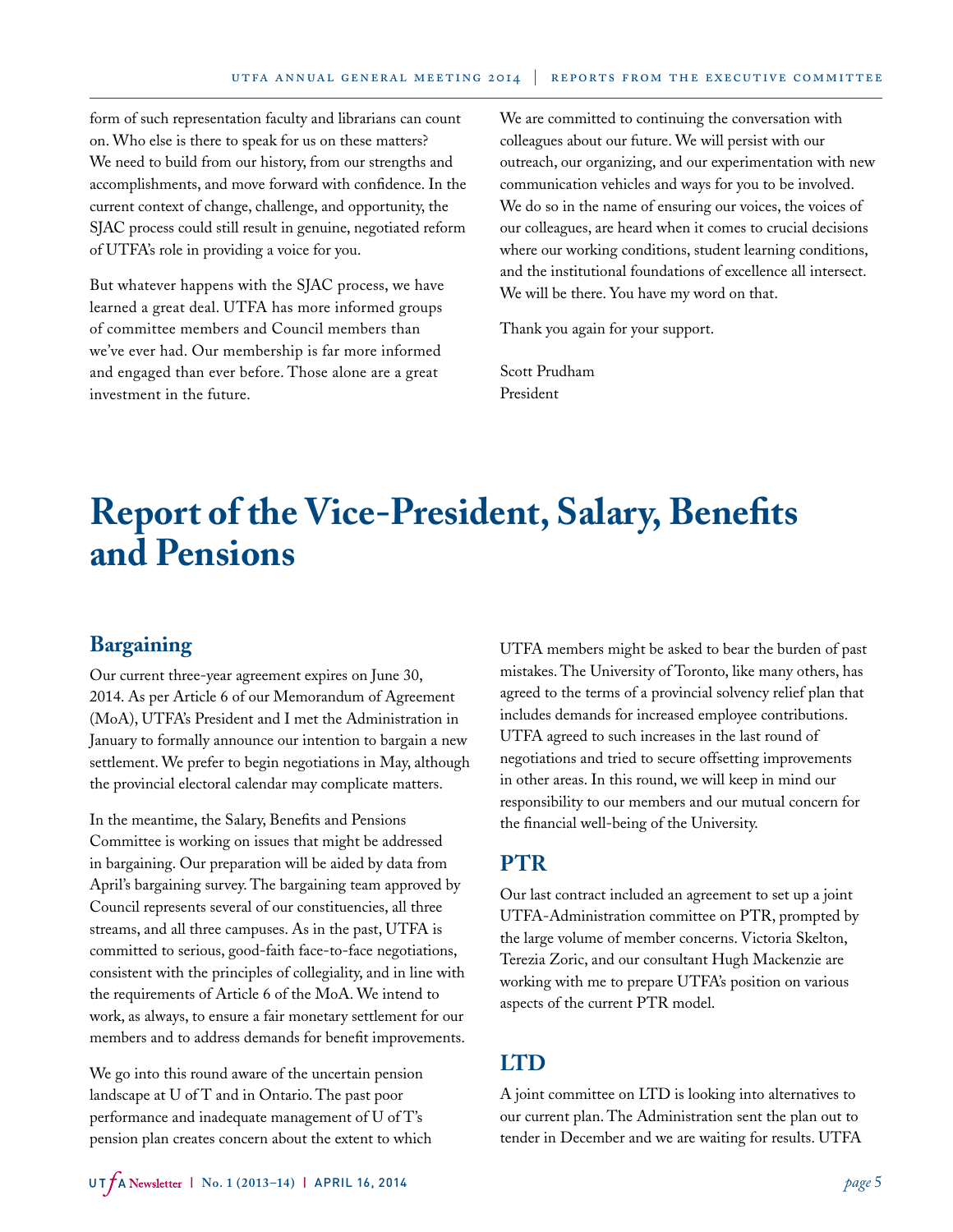form of such representation faculty and librarians can count on. Who else is there to speak for us on these matters? We need to build from our history, from our strengths and accomplishments, and move forward with confidence. In the current context of change, challenge, and opportunity, the SJAC process could still result in genuine, negotiated reform of UTFA's role in providing a voice for you.

But whatever happens with the SJAC process, we have learned a great deal. UTFA has more informed groups of committee members and Council members than we've ever had. Our membership is far more informed and engaged than ever before. Those alone are a great investment in the future.

We are committed to continuing the conversation with colleagues about our future. We will persist with our outreach, our organizing, and our experimentation with new communication vehicles and ways for you to be involved. We do so in the name of ensuring our voices, the voices of our colleagues, are heard when it comes to crucial decisions where our working conditions, student learning conditions, and the institutional foundations of excellence all intersect. We will be there. You have my word on that.

Thank you again for your support.

Scott Prudham President

# **Report of the Vice-President, Salary, Benefits and Pensions**

# **Bargaining**

Our current three-year agreement expires on June 30, 2014. As per Article 6 of our Memorandum of Agreement (MoA), UTFA's President and I met the Administration in January to formally announce our intention to bargain a new settlement. We prefer to begin negotiations in May, although the provincial electoral calendar may complicate matters.

In the meantime, the Salary, Benefits and Pensions Committee is working on issues that might be addressed in bargaining. Our preparation will be aided by data from April's bargaining survey. The bargaining team approved by Council represents several of our constituencies, all three streams, and all three campuses. As in the past, UTFA is committed to serious, good-faith face-to-face negotiations, consistent with the principles of collegiality, and in line with the requirements of Article 6 of the MoA. We intend to work, as always, to ensure a fair monetary settlement for our members and to address demands for benefit improvements.

We go into this round aware of the uncertain pension landscape at U of T and in Ontario. The past poor performance and inadequate management of U of T's pension plan creates concern about the extent to which UTFA members might be asked to bear the burden of past mistakes. The University of Toronto, like many others, has agreed to the terms of a provincial solvency relief plan that includes demands for increased employee contributions. UTFA agreed to such increases in the last round of negotiations and tried to secure offsetting improvements in other areas. In this round, we will keep in mind our responsibility to our members and our mutual concern for the financial well-being of the University.

## **PTR**

Our last contract included an agreement to set up a joint UTFA-Administration committee on PTR, prompted by the large volume of member concerns. Victoria Skelton, Terezia Zoric, and our consultant Hugh Mackenzie are working with me to prepare UTFA's position on various aspects of the current PTR model.

# **LTD**

A joint committee on LTD is looking into alternatives to our current plan. The Administration sent the plan out to tender in December and we are waiting for results. UTFA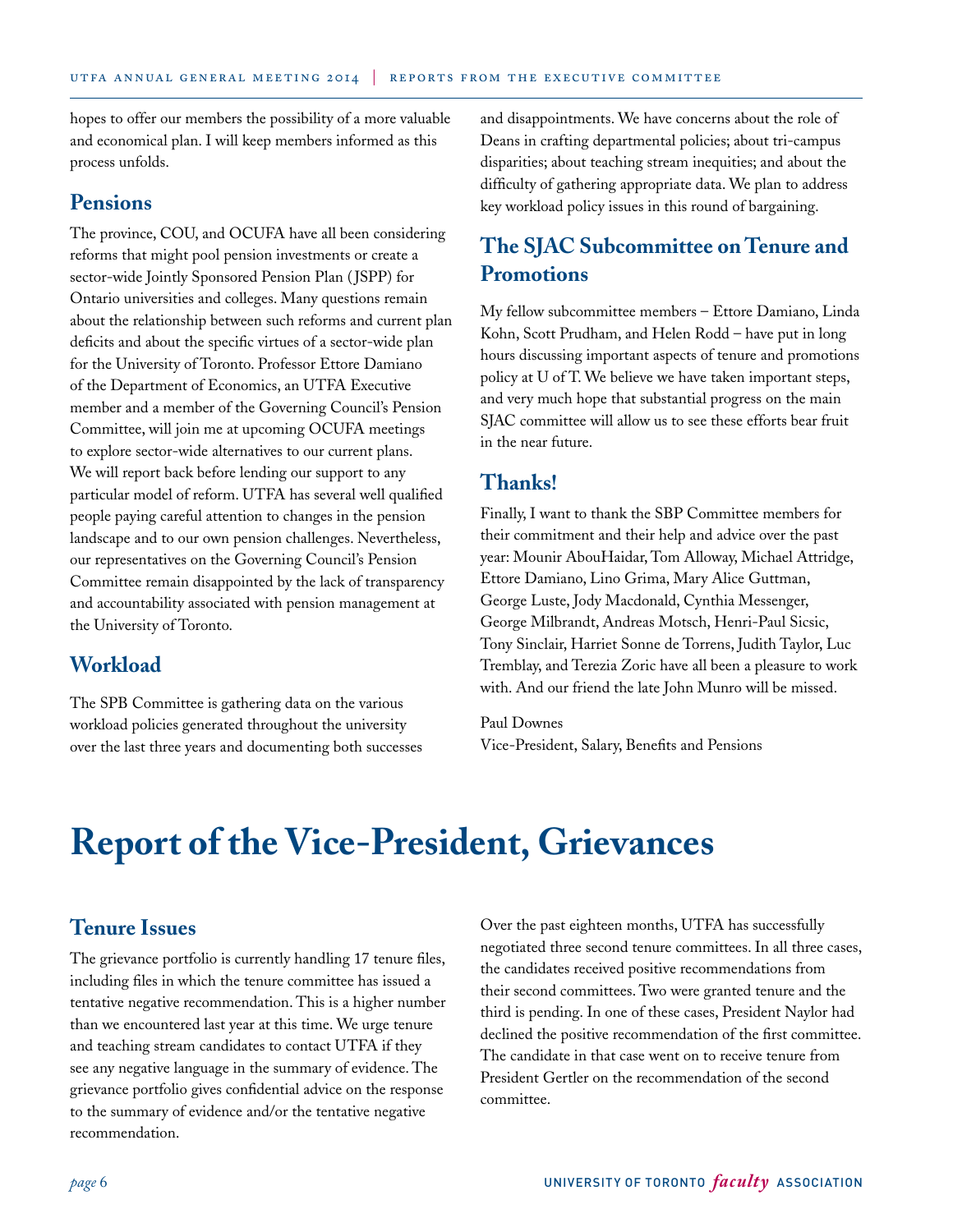hopes to offer our members the possibility of a more valuable and economical plan. I will keep members informed as this process unfolds.

## **Pensions**

The province, COU, and OCUFA have all been considering reforms that might pool pension investments or create a sector-wide Jointly Sponsored Pension Plan (JSPP) for Ontario universities and colleges. Many questions remain about the relationship between such reforms and current plan deficits and about the specific virtues of a sector-wide plan for the University of Toronto. Professor Ettore Damiano of the Department of Economics, an UTFA Executive member and a member of the Governing Council's Pension Committee, will join me at upcoming OCUFA meetings to explore sector-wide alternatives to our current plans. We will report back before lending our support to any particular model of reform. UTFA has several well qualified people paying careful attention to changes in the pension landscape and to our own pension challenges. Nevertheless, our representatives on the Governing Council's Pension Committee remain disappointed by the lack of transparency and accountability associated with pension management at the University of Toronto.

## **Workload**

The SPB Committee is gathering data on the various workload policies generated throughout the university over the last three years and documenting both successes and disappointments. We have concerns about the role of Deans in crafting departmental policies; about tri-campus disparities; about teaching stream inequities; and about the difficulty of gathering appropriate data. We plan to address key workload policy issues in this round of bargaining.

# **The SJAC Subcommittee on Tenure and Promotions**

My fellow subcommittee members – Ettore Damiano, Linda Kohn, Scott Prudham, and Helen Rodd – have put in long hours discussing important aspects of tenure and promotions policy at U of T. We believe we have taken important steps, and very much hope that substantial progress on the main SJAC committee will allow us to see these efforts bear fruit in the near future.

## **Thanks!**

Finally, I want to thank the SBP Committee members for their commitment and their help and advice over the past year: Mounir AbouHaidar, Tom Alloway, Michael Attridge, Ettore Damiano, Lino Grima, Mary Alice Guttman, George Luste, Jody Macdonald, Cynthia Messenger, George Milbrandt, Andreas Motsch, Henri-Paul Sicsic, Tony Sinclair, Harriet Sonne de Torrens, Judith Taylor, Luc Tremblay, and Terezia Zoric have all been a pleasure to work with. And our friend the late John Munro will be missed.

Paul Downes Vice-President, Salary, Benefits and Pensions

# **Report of the Vice-President, Grievances**

# **Tenure Issues**

The grievance portfolio is currently handling 17 tenure files, including files in which the tenure committee has issued a tentative negative recommendation. This is a higher number than we encountered last year at this time. We urge tenure and teaching stream candidates to contact UTFA if they see any negative language in the summary of evidence. The grievance portfolio gives confidential advice on the response to the summary of evidence and/or the tentative negative recommendation.

Over the past eighteen months, UTFA has successfully negotiated three second tenure committees. In all three cases, the candidates received positive recommendations from their second committees. Two were granted tenure and the third is pending. In one of these cases, President Naylor had declined the positive recommendation of the first committee. The candidate in that case went on to receive tenure from President Gertler on the recommendation of the second committee.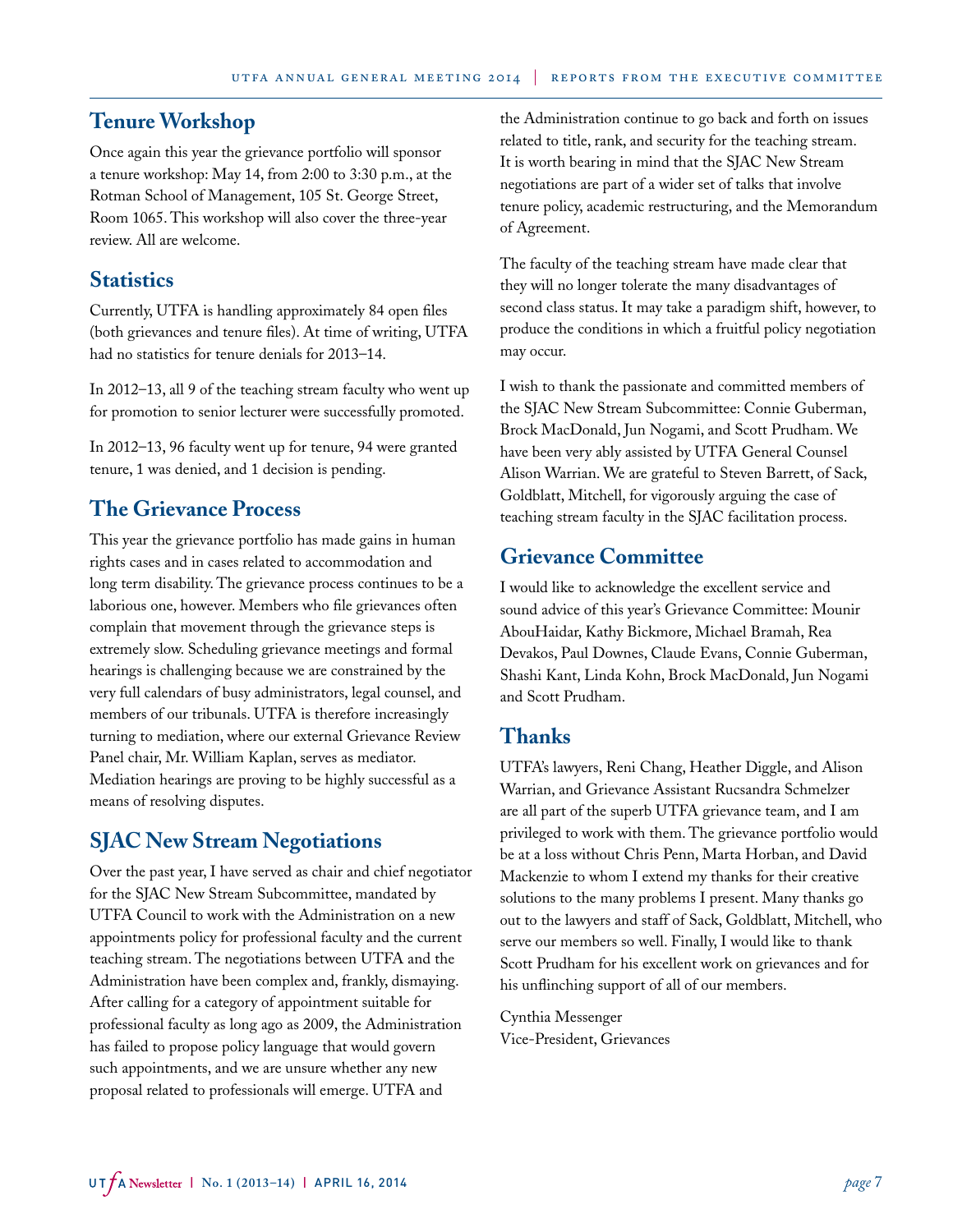# **Tenure Workshop**

Once again this year the grievance portfolio will sponsor a tenure workshop: May 14, from 2:00 to 3:30 p.m., at the Rotman School of Management, 105 St. George Street, Room 1065. This workshop will also cover the three-year review. All are welcome.

## **Statistics**

Currently, UTFA is handling approximately 84 open files (both grievances and tenure files). At time of writing, UTFA had no statistics for tenure denials for 2013–14.

In 2012–13, all 9 of the teaching stream faculty who went up for promotion to senior lecturer were successfully promoted.

In 2012–13, 96 faculty went up for tenure, 94 were granted tenure, 1 was denied, and 1 decision is pending.

# **The Grievance Process**

This year the grievance portfolio has made gains in human rights cases and in cases related to accommodation and long term disability. The grievance process continues to be a laborious one, however. Members who file grievances often complain that movement through the grievance steps is extremely slow. Scheduling grievance meetings and formal hearings is challenging because we are constrained by the very full calendars of busy administrators, legal counsel, and members of our tribunals. UTFA is therefore increasingly turning to mediation, where our external Grievance Review Panel chair, Mr. William Kaplan, serves as mediator. Mediation hearings are proving to be highly successful as a means of resolving disputes.

## **SJAC New Stream Negotiations**

Over the past year, I have served as chair and chief negotiator for the SJAC New Stream Subcommittee, mandated by UTFA Council to work with the Administration on a new appointments policy for professional faculty and the current teaching stream. The negotiations between UTFA and the Administration have been complex and, frankly, dismaying. After calling for a category of appointment suitable for professional faculty as long ago as 2009, the Administration has failed to propose policy language that would govern such appointments, and we are unsure whether any new proposal related to professionals will emerge. UTFA and

the Administration continue to go back and forth on issues related to title, rank, and security for the teaching stream. It is worth bearing in mind that the SJAC New Stream negotiations are part of a wider set of talks that involve tenure policy, academic restructuring, and the Memorandum of Agreement.

The faculty of the teaching stream have made clear that they will no longer tolerate the many disadvantages of second class status. It may take a paradigm shift, however, to produce the conditions in which a fruitful policy negotiation may occur.

I wish to thank the passionate and committed members of the SJAC New Stream Subcommittee: Connie Guberman, Brock MacDonald, Jun Nogami, and Scott Prudham. We have been very ably assisted by UTFA General Counsel Alison Warrian. We are grateful to Steven Barrett, of Sack, Goldblatt, Mitchell, for vigorously arguing the case of teaching stream faculty in the SJAC facilitation process.

## **Grievance Committee**

I would like to acknowledge the excellent service and sound advice of this year's Grievance Committee: Mounir AbouHaidar, Kathy Bickmore, Michael Bramah, Rea Devakos, Paul Downes, Claude Evans, Connie Guberman, Shashi Kant, Linda Kohn, Brock MacDonald, Jun Nogami and Scott Prudham.

## **Thanks**

UTFA's lawyers, Reni Chang, Heather Diggle, and Alison Warrian, and Grievance Assistant Rucsandra Schmelzer are all part of the superb UTFA grievance team, and I am privileged to work with them. The grievance portfolio would be at a loss without Chris Penn, Marta Horban, and David Mackenzie to whom I extend my thanks for their creative solutions to the many problems I present. Many thanks go out to the lawyers and staff of Sack, Goldblatt, Mitchell, who serve our members so well. Finally, I would like to thank Scott Prudham for his excellent work on grievances and for his unflinching support of all of our members.

Cynthia Messenger Vice-President, Grievances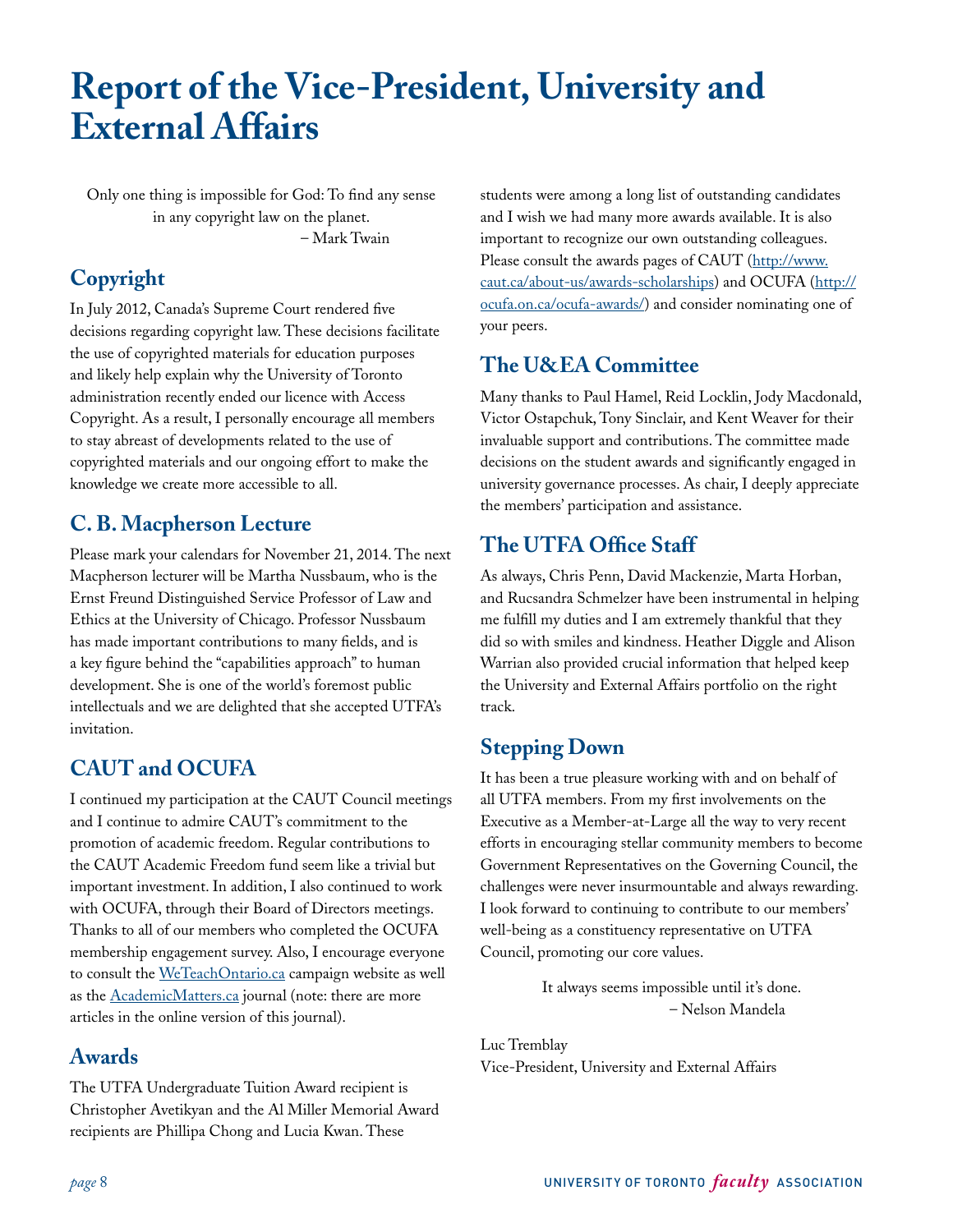# **Report of the Vice-President, University and External Affairs**

Only one thing is impossible for God: To find any sense in any copyright law on the planet. – Mark Twain

# **Copyright**

In July 2012, Canada's Supreme Court rendered five decisions regarding copyright law. These decisions facilitate the use of copyrighted materials for education purposes and likely help explain why the University of Toronto administration recently ended our licence with Access Copyright. As a result, I personally encourage all members to stay abreast of developments related to the use of copyrighted materials and our ongoing effort to make the knowledge we create more accessible to all.

# **C. B. Macpherson Lecture**

Please mark your calendars for November 21, 2014. The next Macpherson lecturer will be Martha Nussbaum, who is the Ernst Freund Distinguished Service Professor of Law and Ethics at the University of Chicago. Professor Nussbaum has made important contributions to many fields, and is a key figure behind the "capabilities approach" to human development. She is one of the world's foremost public intellectuals and we are delighted that she accepted UTFA's invitation.

# **CAUT and OCUFA**

I continued my participation at the CAUT Council meetings and I continue to admire CAUT's commitment to the promotion of academic freedom. Regular contributions to the CAUT Academic Freedom fund seem like a trivial but important investment. In addition, I also continued to work with OCUFA, through their Board of Directors meetings. Thanks to all of our members who completed the OCUFA membership engagement survey. Also, I encourage everyone to consult the [WeTeachOntario.ca](http://www.weteachontario.ca) campaign website as well as the **AcademicMatters.ca** journal (note: there are more articles in the online version of this journal).

# **Awards**

The UTFA Undergraduate Tuition Award recipient is Christopher Avetikyan and the Al Miller Memorial Award recipients are Phillipa Chong and Lucia Kwan. These

students were among a long list of outstanding candidates and I wish we had many more awards available. It is also important to recognize our own outstanding colleagues. Please consult the awards pages of CAUT ([http://www.](http://www.caut.ca/about-us/awards-scholarships) [caut.ca/about-us/awards-scholarships\)](http://www.caut.ca/about-us/awards-scholarships) and OCUFA ([http://](http://ocufa.on.ca/ocufa-awards/) [ocufa.on.ca/ocufa-awards/](http://ocufa.on.ca/ocufa-awards/)) and consider nominating one of your peers.

# **The U&EA Committee**

Many thanks to Paul Hamel, Reid Locklin, Jody Macdonald, Victor Ostapchuk, Tony Sinclair, and Kent Weaver for their invaluable support and contributions. The committee made decisions on the student awards and significantly engaged in university governance processes. As chair, I deeply appreciate the members' participation and assistance.

# **The UTFA Office Staff**

As always, Chris Penn, David Mackenzie, Marta Horban, and Rucsandra Schmelzer have been instrumental in helping me fulfill my duties and I am extremely thankful that they did so with smiles and kindness. Heather Diggle and Alison Warrian also provided crucial information that helped keep the University and External Affairs portfolio on the right track.

# **Stepping Down**

It has been a true pleasure working with and on behalf of all UTFA members. From my first involvements on the Executive as a Member-at-Large all the way to very recent efforts in encouraging stellar community members to become Government Representatives on the Governing Council, the challenges were never insurmountable and always rewarding. I look forward to continuing to contribute to our members' well-being as a constituency representative on UTFA Council, promoting our core values.

> It always seems impossible until it's done. – Nelson Mandela

Luc Tremblay Vice-President, University and External Affairs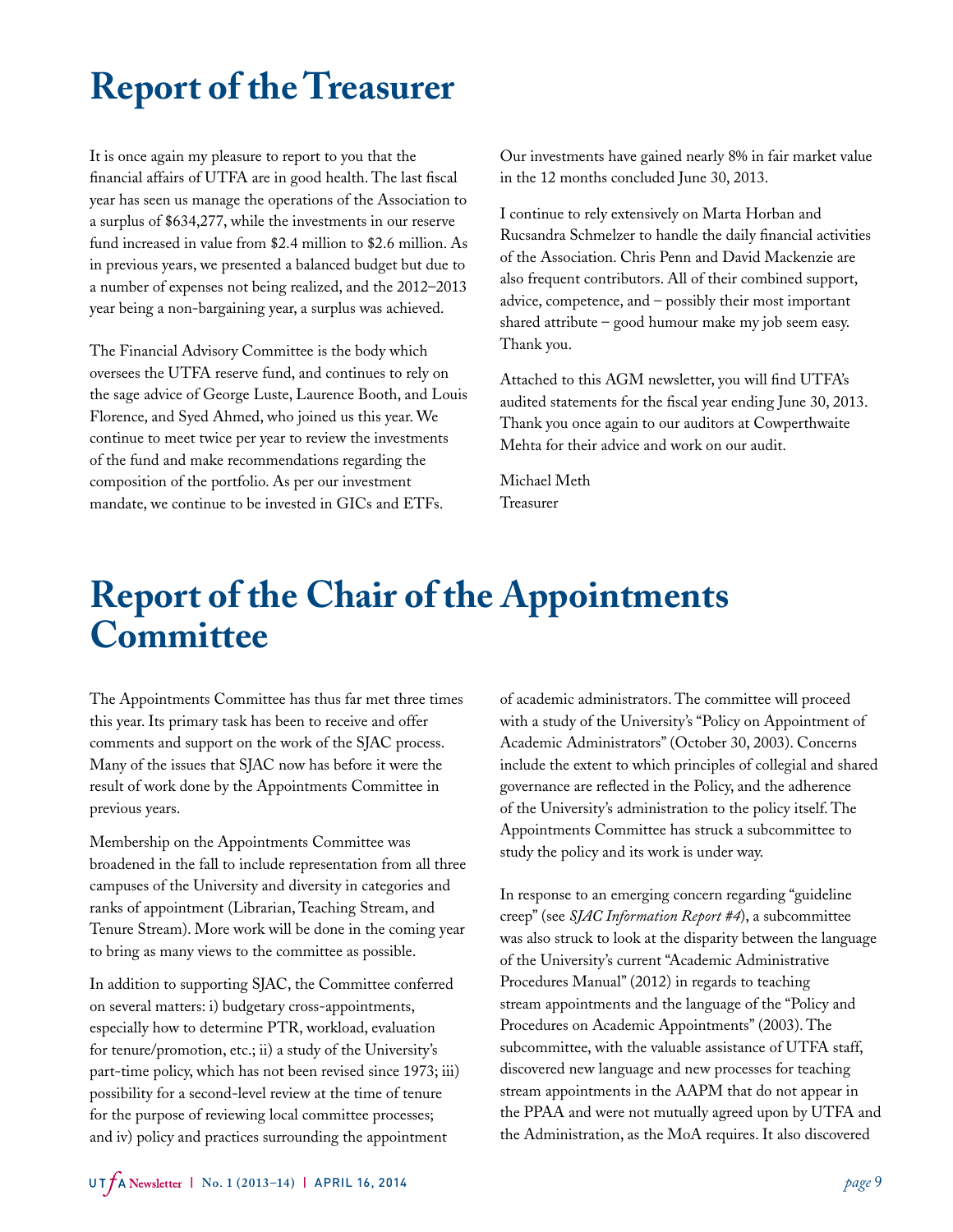# **Report of the Treasurer**

It is once again my pleasure to report to you that the financial affairs of UTFA are in good health. The last fiscal year has seen us manage the operations of the Association to a surplus of \$634,277, while the investments in our reserve fund increased in value from \$2.4 million to \$2.6 million. As in previous years, we presented a balanced budget but due to a number of expenses not being realized, and the 2012–2013 year being a non-bargaining year, a surplus was achieved.

The Financial Advisory Committee is the body which oversees the UTFA reserve fund, and continues to rely on the sage advice of George Luste, Laurence Booth, and Louis Florence, and Syed Ahmed, who joined us this year. We continue to meet twice per year to review the investments of the fund and make recommendations regarding the composition of the portfolio. As per our investment mandate, we continue to be invested in GICs and ETFs.

Our investments have gained nearly 8% in fair market value in the 12 months concluded June 30, 2013.

I continue to rely extensively on Marta Horban and Rucsandra Schmelzer to handle the daily financial activities of the Association. Chris Penn and David Mackenzie are also frequent contributors. All of their combined support, advice, competence, and – possibly their most important shared attribute – good humour make my job seem easy. Thank you.

Attached to this AGM newsletter, you will find UTFA's audited statements for the fiscal year ending June 30, 2013. Thank you once again to our auditors at Cowperthwaite Mehta for their advice and work on our audit.

Michael Meth Treasurer

# **Report of the Chair of the Appointments Committee**

The Appointments Committee has thus far met three times this year. Its primary task has been to receive and offer comments and support on the work of the SJAC process. Many of the issues that SJAC now has before it were the result of work done by the Appointments Committee in previous years.

Membership on the Appointments Committee was broadened in the fall to include representation from all three campuses of the University and diversity in categories and ranks of appointment (Librarian, Teaching Stream, and Tenure Stream). More work will be done in the coming year to bring as many views to the committee as possible.

In addition to supporting SJAC, the Committee conferred on several matters: i) budgetary cross-appointments, especially how to determine PTR, workload, evaluation for tenure/promotion, etc.; ii) a study of the University's part-time policy, which has not been revised since 1973; iii) possibility for a second-level review at the time of tenure for the purpose of reviewing local committee processes; and iv) policy and practices surrounding the appointment

of academic administrators. The committee will proceed with a study of the University's "Policy on Appointment of Academic Administrators" (October 30, 2003). Concerns include the extent to which principles of collegial and shared governance are reflected in the Policy, and the adherence of the University's administration to the policy itself. The Appointments Committee has struck a subcommittee to study the policy and its work is under way.

In response to an emerging concern regarding "guideline creep" (see *SJAC Information Report #4*), a subcommittee was also struck to look at the disparity between the language of the University's current "Academic Administrative Procedures Manual" (2012) in regards to teaching stream appointments and the language of the "Policy and Procedures on Academic Appointments" (2003). The subcommittee, with the valuable assistance of UTFA staff, discovered new language and new processes for teaching stream appointments in the AAPM that do not appear in the PPAA and were not mutually agreed upon by UTFA and the Administration, as the MoA requires. It also discovered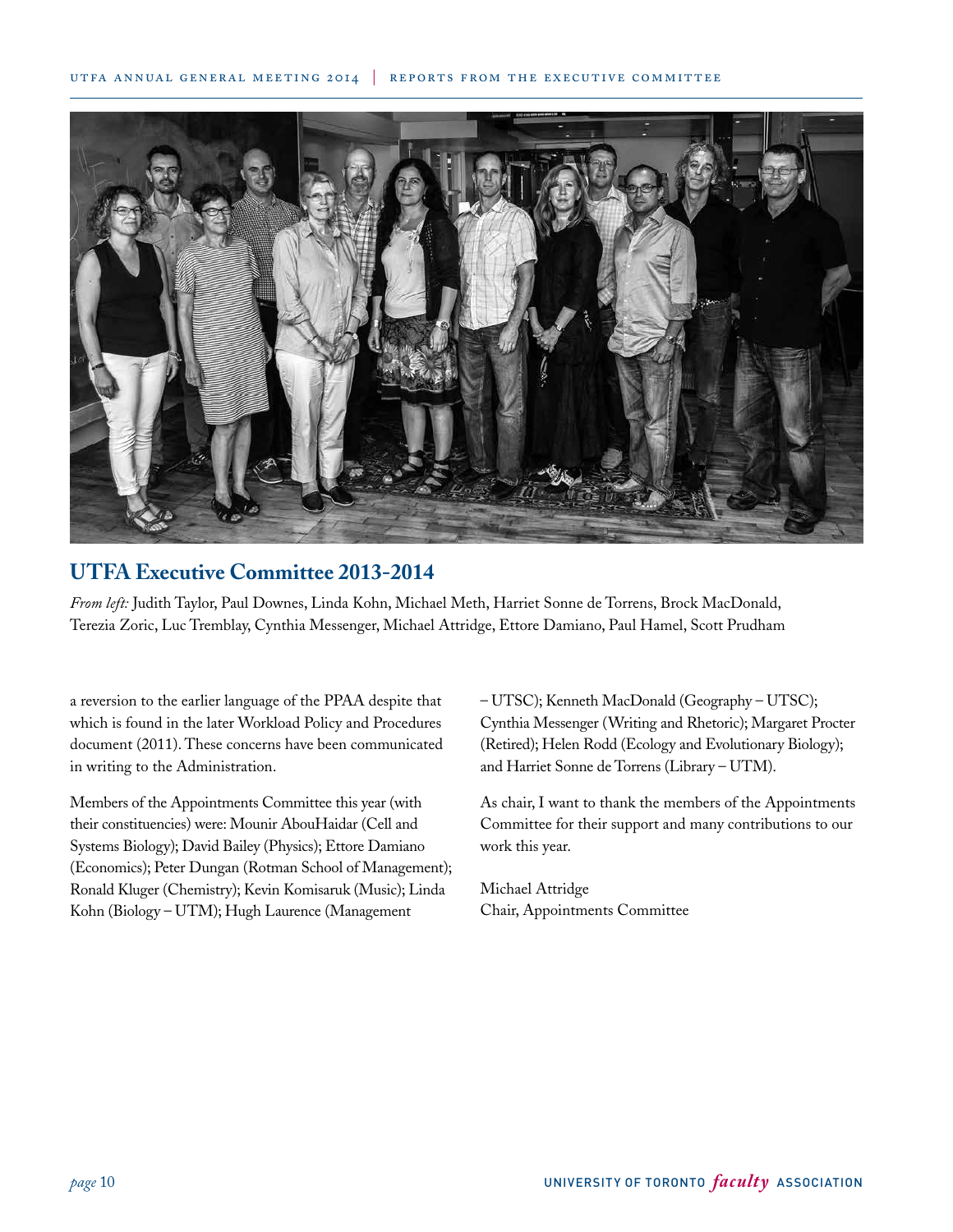### utfa annual general meeting 2014 | reports from the executive committee



# **UTFA Executive Committee 2013-2014**

*From left:* Judith Taylor, Paul Downes, Linda Kohn, Michael Meth, Harriet Sonne de Torrens, Brock MacDonald, Terezia Zoric, Luc Tremblay, Cynthia Messenger, Michael Attridge, Ettore Damiano, Paul Hamel, Scott Prudham

a reversion to the earlier language of the PPAA despite that which is found in the later Workload Policy and Procedures document (2011). These concerns have been communicated in writing to the Administration.

Members of the Appointments Committee this year (with their constituencies) were: Mounir AbouHaidar (Cell and Systems Biology); David Bailey (Physics); Ettore Damiano (Economics); Peter Dungan (Rotman School of Management); Ronald Kluger (Chemistry); Kevin Komisaruk (Music); Linda Kohn (Biology – UTM); Hugh Laurence (Management

– UTSC); Kenneth MacDonald (Geography – UTSC); Cynthia Messenger (Writing and Rhetoric); Margaret Procter (Retired); Helen Rodd (Ecology and Evolutionary Biology); and Harriet Sonne de Torrens (Library – UTM).

As chair, I want to thank the members of the Appointments Committee for their support and many contributions to our work this year.

Michael Attridge Chair, Appointments Committee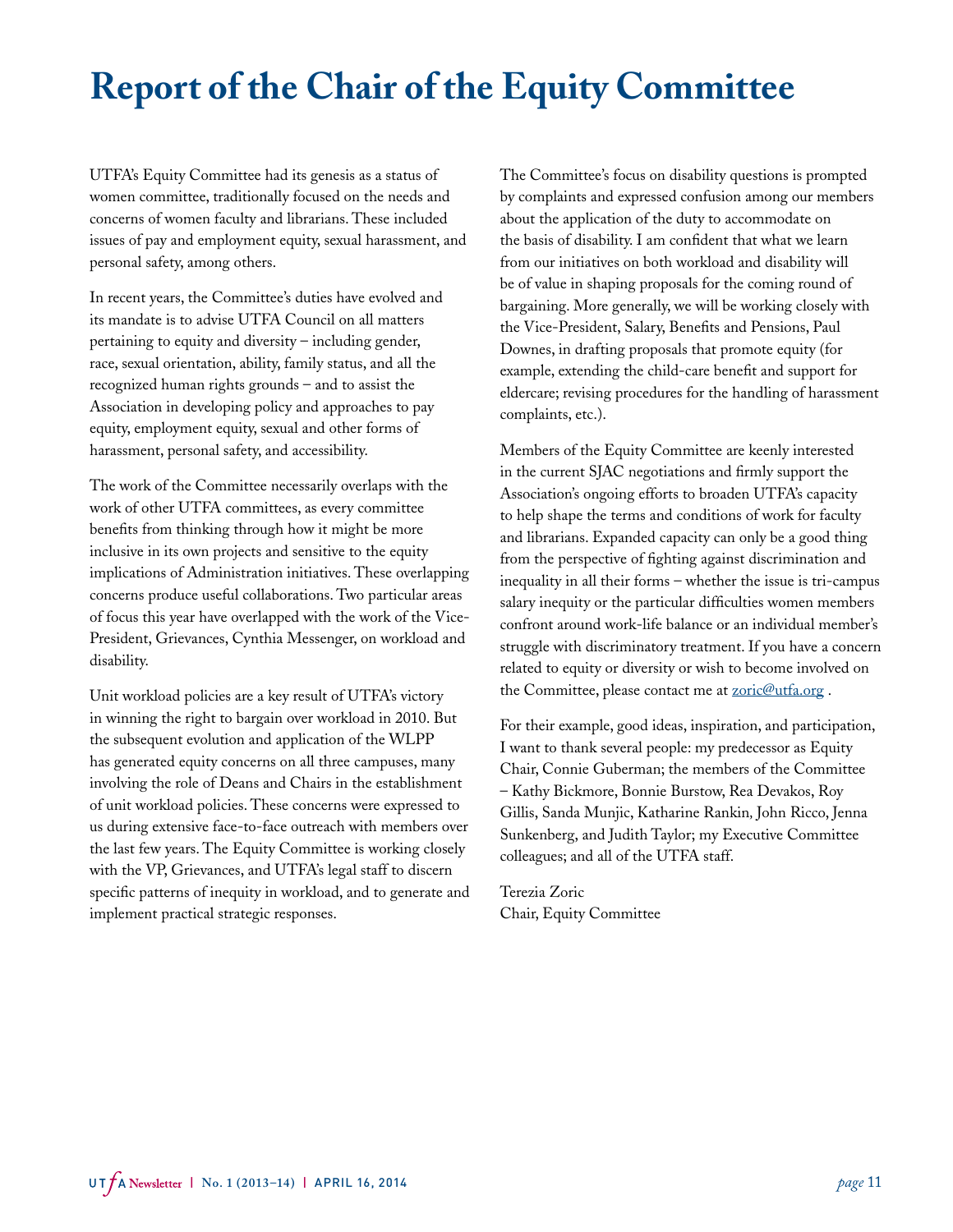# **Report of the Chair of the Equity Committee**

UTFA's Equity Committee had its genesis as a status of women committee, traditionally focused on the needs and concerns of women faculty and librarians. These included issues of pay and employment equity, sexual harassment, and personal safety, among others.

In recent years, the Committee's duties have evolved and its mandate is to advise UTFA Council on all matters pertaining to equity and diversity – including gender, race, sexual orientation, ability, family status, and all the recognized human rights grounds – and to assist the Association in developing policy and approaches to pay equity, employment equity, sexual and other forms of harassment, personal safety, and accessibility.

The work of the Committee necessarily overlaps with the work of other UTFA committees, as every committee benefits from thinking through how it might be more inclusive in its own projects and sensitive to the equity implications of Administration initiatives. These overlapping concerns produce useful collaborations. Two particular areas of focus this year have overlapped with the work of the Vice-President, Grievances, Cynthia Messenger, on workload and disability.

Unit workload policies are a key result of UTFA's victory in winning the right to bargain over workload in 2010. But the subsequent evolution and application of the WLPP has generated equity concerns on all three campuses, many involving the role of Deans and Chairs in the establishment of unit workload policies. These concerns were expressed to us during extensive face-to-face outreach with members over the last few years. The Equity Committee is working closely with the VP, Grievances, and UTFA's legal staff to discern specific patterns of inequity in workload, and to generate and implement practical strategic responses.

The Committee's focus on disability questions is prompted by complaints and expressed confusion among our members about the application of the duty to accommodate on the basis of disability. I am confident that what we learn from our initiatives on both workload and disability will be of value in shaping proposals for the coming round of bargaining. More generally, we will be working closely with the Vice-President, Salary, Benefits and Pensions, Paul Downes, in drafting proposals that promote equity (for example, extending the child-care benefit and support for eldercare; revising procedures for the handling of harassment complaints, etc.).

Members of the Equity Committee are keenly interested in the current SJAC negotiations and firmly support the Association's ongoing efforts to broaden UTFA's capacity to help shape the terms and conditions of work for faculty and librarians. Expanded capacity can only be a good thing from the perspective of fighting against discrimination and inequality in all their forms – whether the issue is tri-campus salary inequity or the particular difficulties women members confront around work-life balance or an individual member's struggle with discriminatory treatment. If you have a concern related to equity or diversity or wish to become involved on the Committee, please contact me at **zoric@utfa.org**.

For their example, good ideas, inspiration, and participation, I want to thank several people: my predecessor as Equity Chair, Connie Guberman; the members of the Committee – Kathy Bickmore, Bonnie Burstow, Rea Devakos, Roy Gillis, Sanda Munjic, Katharine Rankin*,* John Ricco, Jenna Sunkenberg, and Judith Taylor; my Executive Committee colleagues; and all of the UTFA staff.

Terezia Zoric Chair, Equity Committee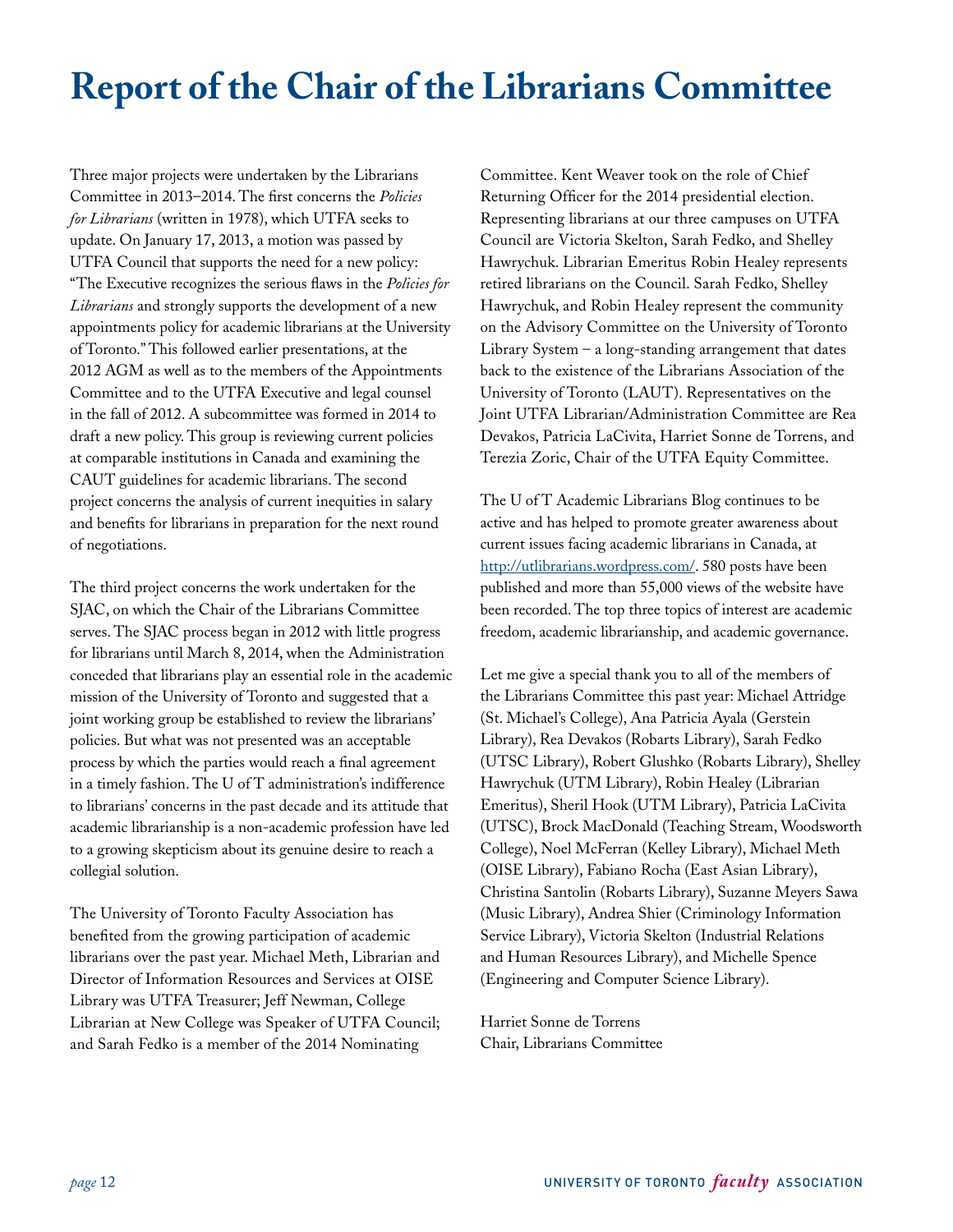# **Report of the Chair of the Librarians Committee**

Three major projects were undertaken by the Librarians Committee in 2013–2014. The first concerns the *Policies for Librarians* (written in 1978), which UTFA seeks to update. On January 17, 2013, a motion was passed by UTFA Council that supports the need for a new policy: "The Executive recognizes the serious flaws in the *Policies for Librarians* and strongly supports the development of a new appointments policy for academic librarians at the University of Toronto." This followed earlier presentations, at the 2012 AGM as well as to the members of the Appointments Committee and to the UTFA Executive and legal counsel in the fall of 2012. A subcommittee was formed in 2014 to draft a new policy. This group is reviewing current policies at comparable institutions in Canada and examining the CAUT guidelines for academic librarians. The second project concerns the analysis of current inequities in salary and benefits for librarians in preparation for the next round of negotiations.

The third project concerns the work undertaken for the SJAC, on which the Chair of the Librarians Committee serves. The SJAC process began in 2012 with little progress for librarians until March 8, 2014, when the Administration conceded that librarians play an essential role in the academic mission of the University of Toronto and suggested that a joint working group be established to review the librarians' policies. But what was not presented was an acceptable process by which the parties would reach a final agreement in a timely fashion. The U of T administration's indifference to librarians' concerns in the past decade and its attitude that academic librarianship is a non-academic profession have led to a growing skepticism about its genuine desire to reach a collegial solution.

The University of Toronto Faculty Association has benefited from the growing participation of academic librarians over the past year. Michael Meth, Librarian and Director of Information Resources and Services at OISE Library was UTFA Treasurer; Jeff Newman, College Librarian at New College was Speaker of UTFA Council; and Sarah Fedko is a member of the 2014 Nominating

Committee. Kent Weaver took on the role of Chief Returning Officer for the 2014 presidential election. Representing librarians at our three campuses on UTFA Council are Victoria Skelton, Sarah Fedko, and Shelley Hawrychuk. Librarian Emeritus Robin Healey represents retired librarians on the Council. Sarah Fedko, Shelley Hawrychuk, and Robin Healey represent the community on the Advisory Committee on the University of Toronto Library System – a long-standing arrangement that dates back to the existence of the Librarians Association of the University of Toronto (LAUT). Representatives on the Joint UTFA Librarian/Administration Committee are Rea Devakos, Patricia LaCivita, Harriet Sonne de Torrens, and Terezia Zoric, Chair of the UTFA Equity Committee.

The U of T Academic Librarians Blog continues to be active and has helped to promote greater awareness about current issues facing academic librarians in Canada, at [http://utlibrarians.wordpress.com/.](http://utlibrarians.wordpress.com/) 580 posts have been published and more than 55,000 views of the website have been recorded. The top three topics of interest are academic freedom, academic librarianship, and academic governance.

Let me give a special thank you to all of the members of the Librarians Committee this past year: Michael Attridge (St. Michael's College), Ana Patricia Ayala (Gerstein Library), Rea Devakos (Robarts Library), Sarah Fedko (UTSC Library), Robert Glushko (Robarts Library), Shelley Hawrychuk (UTM Library), Robin Healey (Librarian Emeritus), Sheril Hook (UTM Library), Patricia LaCivita (UTSC), Brock MacDonald (Teaching Stream, Woodsworth College), Noel McFerran (Kelley Library), Michael Meth (OISE Library), Fabiano Rocha (East Asian Library), Christina Santolin (Robarts Library), Suzanne Meyers Sawa (Music Library), Andrea Shier (Criminology Information Service Library), Victoria Skelton (Industrial Relations and Human Resources Library), and Michelle Spence (Engineering and Computer Science Library).

Harriet Sonne de Torrens Chair, Librarians Committee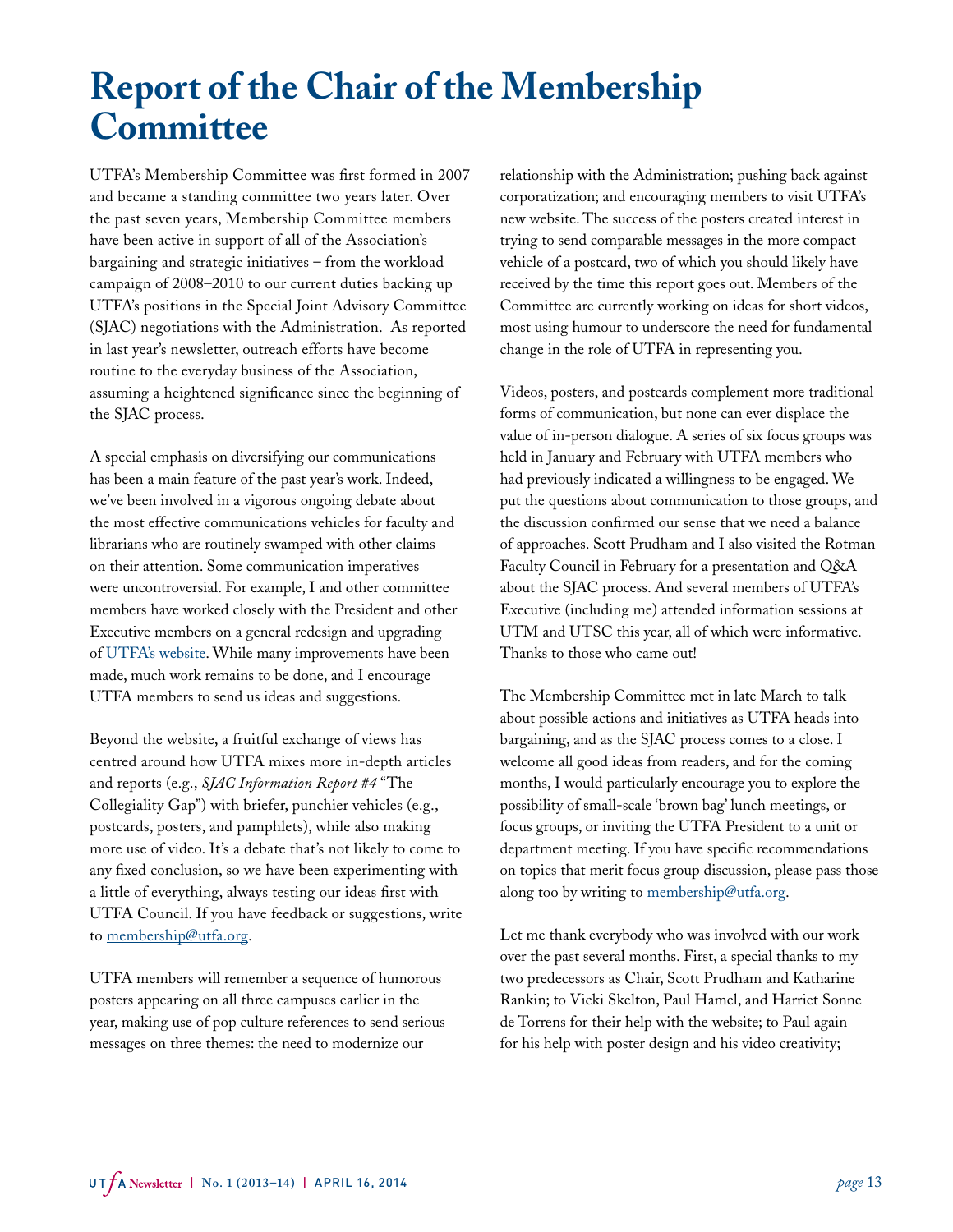# **Report of the Chair of the Membership Committee**

UTFA's Membership Committee was first formed in 2007 and became a standing committee two years later. Over the past seven years, Membership Committee members have been active in support of all of the Association's bargaining and strategic initiatives – from the workload campaign of 2008–2010 to our current duties backing up UTFA's positions in the Special Joint Advisory Committee (SJAC) negotiations with the Administration. As reported in last year's newsletter, outreach efforts have become routine to the everyday business of the Association, assuming a heightened significance since the beginning of the SJAC process.

A special emphasis on diversifying our communications has been a main feature of the past year's work. Indeed, we've been involved in a vigorous ongoing debate about the most effective communications vehicles for faculty and librarians who are routinely swamped with other claims on their attention. Some communication imperatives were uncontroversial. For example, I and other committee members have worked closely with the President and other Executive members on a general redesign and upgrading of [UTFA's website](http://www.utfa.org/). While many improvements have been made, much work remains to be done, and I encourage UTFA members to send us ideas and suggestions.

Beyond the website, a fruitful exchange of views has centred around how UTFA mixes more in-depth articles and reports (e.g., *SJAC Information Report #4* "The Collegiality Gap") with briefer, punchier vehicles (e.g., postcards, posters, and pamphlets), while also making more use of video. It's a debate that's not likely to come to any fixed conclusion, so we have been experimenting with a little of everything, always testing our ideas first with UTFA Council. If you have feedback or suggestions, write to [membership@utfa.org.](mailto:membership%40utfa.org?subject=UTFA)

UTFA members will remember a sequence of humorous posters appearing on all three campuses earlier in the year, making use of pop culture references to send serious messages on three themes: the need to modernize our

relationship with the Administration; pushing back against corporatization; and encouraging members to visit UTFA's new website. The success of the posters created interest in trying to send comparable messages in the more compact vehicle of a postcard, two of which you should likely have received by the time this report goes out. Members of the Committee are currently working on ideas for short videos, most using humour to underscore the need for fundamental change in the role of UTFA in representing you.

Videos, posters, and postcards complement more traditional forms of communication, but none can ever displace the value of in-person dialogue. A series of six focus groups was held in January and February with UTFA members who had previously indicated a willingness to be engaged. We put the questions about communication to those groups, and the discussion confirmed our sense that we need a balance of approaches. Scott Prudham and I also visited the Rotman Faculty Council in February for a presentation and Q&A about the SJAC process. And several members of UTFA's Executive (including me) attended information sessions at UTM and UTSC this year, all of which were informative. Thanks to those who came out!

The Membership Committee met in late March to talk about possible actions and initiatives as UTFA heads into bargaining, and as the SJAC process comes to a close. I welcome all good ideas from readers, and for the coming months, I would particularly encourage you to explore the possibility of small-scale 'brown bag' lunch meetings, or focus groups, or inviting the UTFA President to a unit or department meeting. If you have specific recommendations on topics that merit focus group discussion, please pass those along too by writing to [membership@utfa.org.](mailto:membership%40utfa.org?subject=UTFA)

Let me thank everybody who was involved with our work over the past several months. First, a special thanks to my two predecessors as Chair, Scott Prudham and Katharine Rankin; to Vicki Skelton, Paul Hamel, and Harriet Sonne de Torrens for their help with the website; to Paul again for his help with poster design and his video creativity;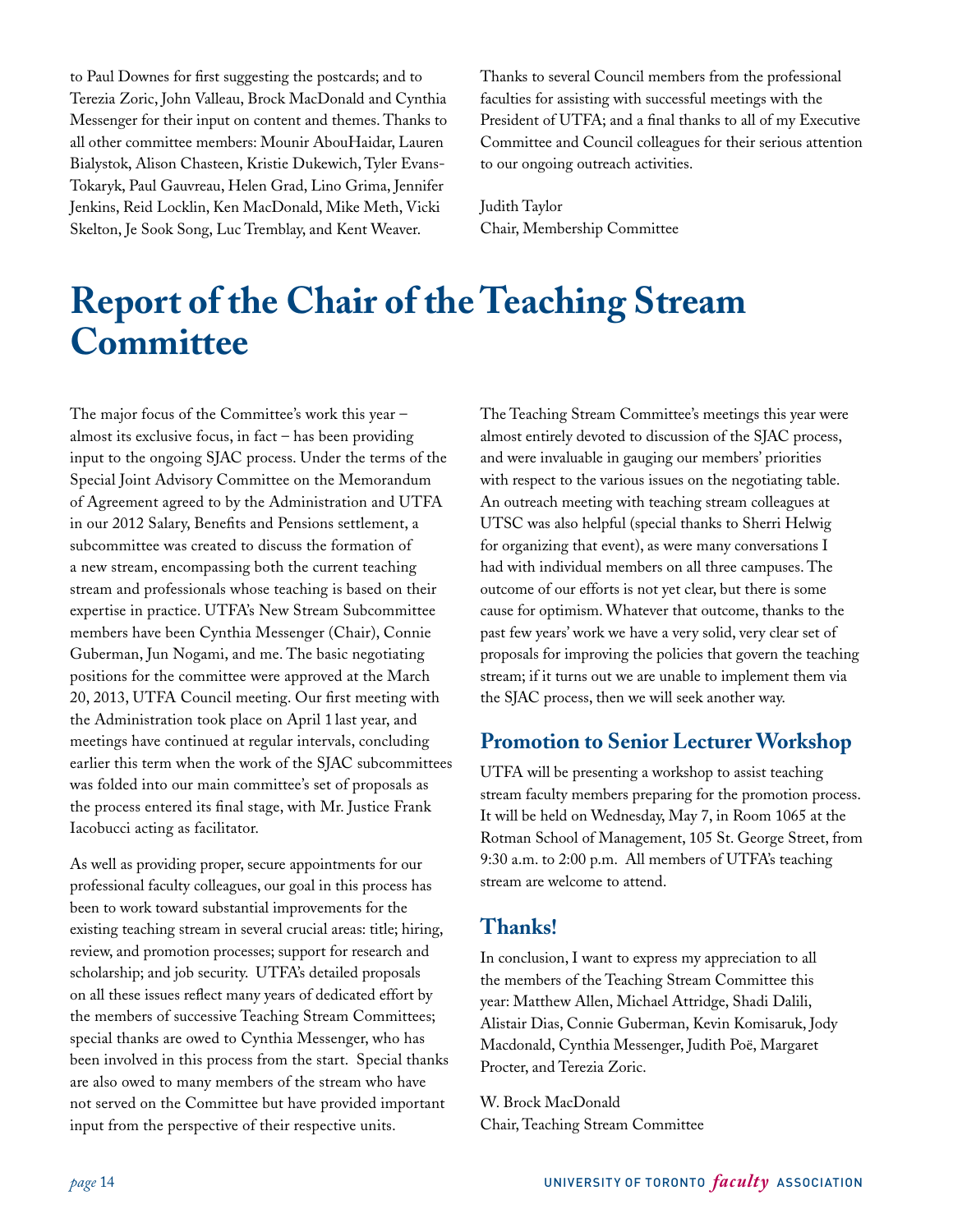to Paul Downes for first suggesting the postcards; and to Terezia Zoric, John Valleau, Brock MacDonald and Cynthia Messenger for their input on content and themes. Thanks to all other committee members: Mounir AbouHaidar, Lauren Bialystok, Alison Chasteen, Kristie Dukewich, Tyler Evans-Tokaryk, Paul Gauvreau, Helen Grad, Lino Grima, Jennifer Jenkins, Reid Locklin, Ken MacDonald, Mike Meth, Vicki Skelton, Je Sook Song, Luc Tremblay, and Kent Weaver.

Thanks to several Council members from the professional faculties for assisting with successful meetings with the President of UTFA; and a final thanks to all of my Executive Committee and Council colleagues for their serious attention to our ongoing outreach activities.

Judith Taylor Chair, Membership Committee

# **Report of the Chair of the Teaching Stream Committee**

The major focus of the Committee's work this year – almost its exclusive focus, in fact – has been providing input to the ongoing SJAC process. Under the terms of the Special Joint Advisory Committee on the Memorandum of Agreement agreed to by the Administration and UTFA in our 2012 Salary, Benefits and Pensions settlement, a subcommittee was created to discuss the formation of a new stream, encompassing both the current teaching stream and professionals whose teaching is based on their expertise in practice. UTFA's New Stream Subcommittee members have been Cynthia Messenger (Chair), Connie Guberman, Jun Nogami, and me. The basic negotiating positions for the committee were approved at the March 20, 2013, UTFA Council meeting. Our first meeting with the Administration took place on April 1 last year, and meetings have continued at regular intervals, concluding earlier this term when the work of the SJAC subcommittees was folded into our main committee's set of proposals as the process entered its final stage, with Mr. Justice Frank Iacobucci acting as facilitator.

As well as providing proper, secure appointments for our professional faculty colleagues, our goal in this process has been to work toward substantial improvements for the existing teaching stream in several crucial areas: title; hiring, review, and promotion processes; support for research and scholarship; and job security. UTFA's detailed proposals on all these issues reflect many years of dedicated effort by the members of successive Teaching Stream Committees; special thanks are owed to Cynthia Messenger, who has been involved in this process from the start. Special thanks are also owed to many members of the stream who have not served on the Committee but have provided important input from the perspective of their respective units.

The Teaching Stream Committee's meetings this year were almost entirely devoted to discussion of the SJAC process, and were invaluable in gauging our members' priorities with respect to the various issues on the negotiating table. An outreach meeting with teaching stream colleagues at UTSC was also helpful (special thanks to Sherri Helwig for organizing that event), as were many conversations I had with individual members on all three campuses. The outcome of our efforts is not yet clear, but there is some cause for optimism. Whatever that outcome, thanks to the past few years' work we have a very solid, very clear set of proposals for improving the policies that govern the teaching stream; if it turns out we are unable to implement them via the SJAC process, then we will seek another way.

# **Promotion to Senior Lecturer Workshop**

UTFA will be presenting a workshop to assist teaching stream faculty members preparing for the promotion process. It will be held on Wednesday, May 7, in Room 1065 at the Rotman School of Management, 105 St. George Street, from 9:30 a.m. to 2:00 p.m. All members of UTFA's teaching stream are welcome to attend.

# **Thanks!**

In conclusion, I want to express my appreciation to all the members of the Teaching Stream Committee this year: Matthew Allen, Michael Attridge, Shadi Dalili, Alistair Dias, Connie Guberman, Kevin Komisaruk, Jody Macdonald, Cynthia Messenger, Judith Poë, Margaret Procter, and Terezia Zoric.

W. Brock MacDonald Chair, Teaching Stream Committee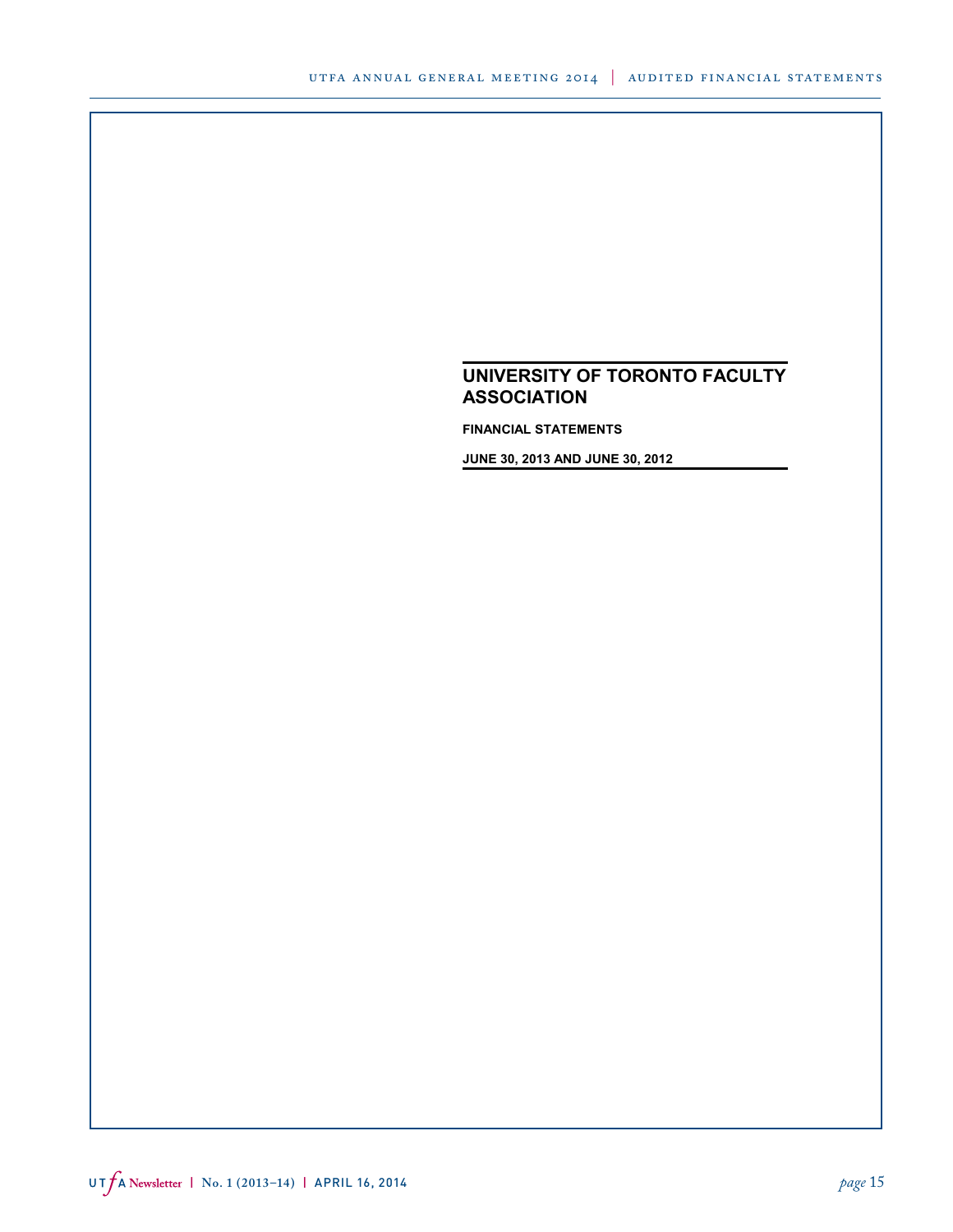**FINANCIAL STATEMENTS**

**JUNE 30, 2013 AND JUNE 30, 2012**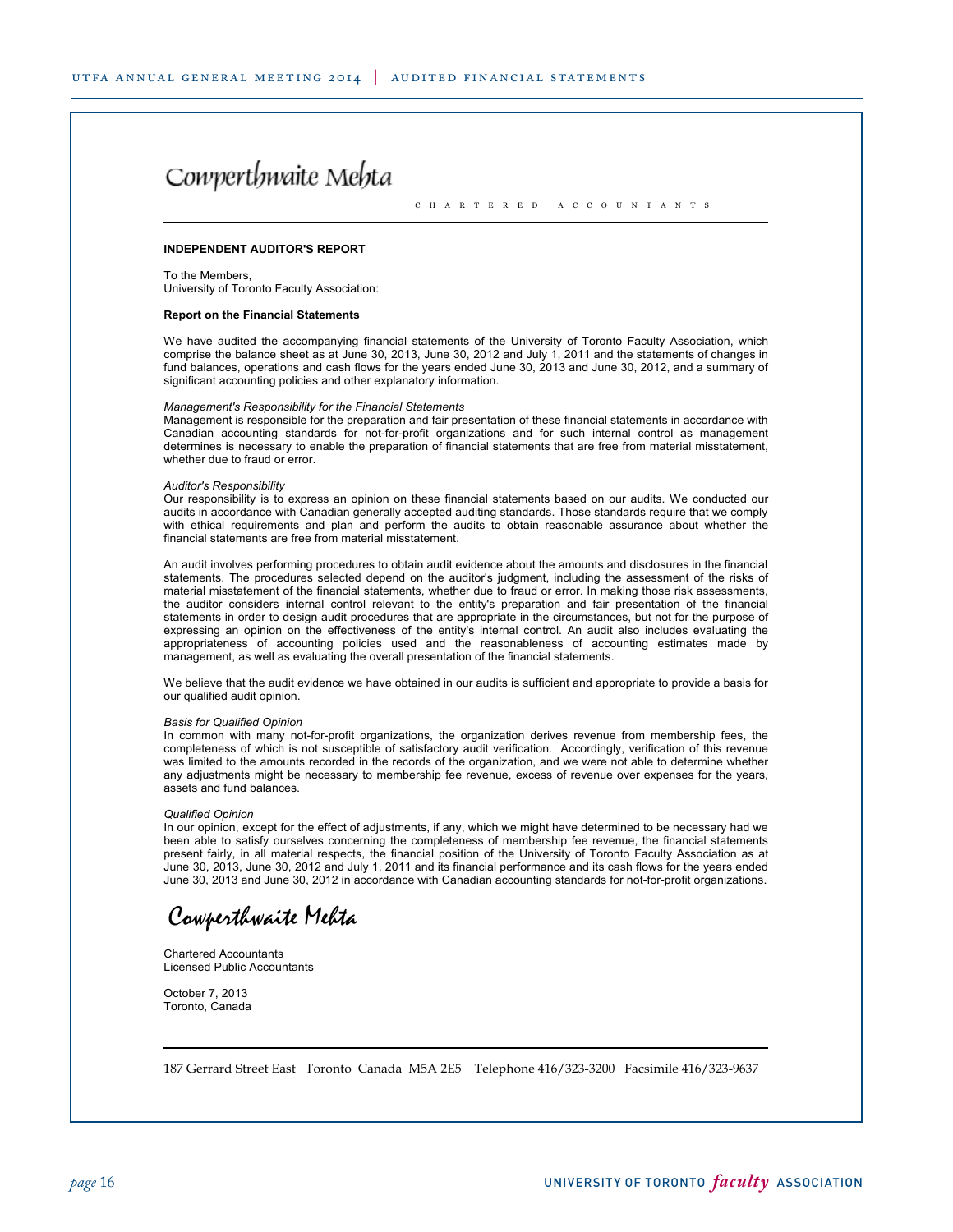# Cowperthwaite Mehta

C H A R T E R E D A C C O U N T A N T S

#### **INDEPENDENT AUDITOR'S REPORT**

To the Members, University of Toronto Faculty Association:

#### **Report on the Financial Statements**

We have audited the accompanying financial statements of the University of Toronto Faculty Association, which comprise the balance sheet as at June 30, 2013, June 30, 2012 and July 1, 2011 and the statements of changes in fund balances, operations and cash flows for the years ended June 30, 2013 and June 30, 2012, and a summary of significant accounting policies and other explanatory information.

#### *Management's Responsibility for the Financial Statements*

Management is responsible for the preparation and fair presentation of these financial statements in accordance with Canadian accounting standards for not-for-profit organizations and for such internal control as management determines is necessary to enable the preparation of financial statements that are free from material misstatement, whether due to fraud or error.

#### *Auditor's Responsibility*

Our responsibility is to express an opinion on these financial statements based on our audits. We conducted our audits in accordance with Canadian generally accepted auditing standards. Those standards require that we comply with ethical requirements and plan and perform the audits to obtain reasonable assurance about whether the financial statements are free from material misstatement.

An audit involves performing procedures to obtain audit evidence about the amounts and disclosures in the financial statements. The procedures selected depend on the auditor's judgment, including the assessment of the risks of material misstatement of the financial statements, whether due to fraud or error. In making those risk assessments, the auditor considers internal control relevant to the entity's preparation and fair presentation of the financial statements in order to design audit procedures that are appropriate in the circumstances, but not for the purpose of expressing an opinion on the effectiveness of the entity's internal control. An audit also includes evaluating the appropriateness of accounting policies used and the reasonableness of accounting estimates made by management, as well as evaluating the overall presentation of the financial statements.

We believe that the audit evidence we have obtained in our audits is sufficient and appropriate to provide a basis for our qualified audit opinion.

#### *Basis for Qualified Opinion*

In common with many not-for-profit organizations, the organization derives revenue from membership fees, the completeness of which is not susceptible of satisfactory audit verification. Accordingly, verification of this revenue was limited to the amounts recorded in the records of the organization, and we were not able to determine whether any adjustments might be necessary to membership fee revenue, excess of revenue over expenses for the years, assets and fund balances.

#### *Qualified Opinion*

In our opinion, except for the effect of adjustments, if any, which we might have determined to be necessary had we been able to satisfy ourselves concerning the completeness of membership fee revenue, the financial statements present fairly, in all material respects, the financial position of the University of Toronto Faculty Association as at June 30, 2013, June 30, 2012 and July 1, 2011 and its financial performance and its cash flows for the years ended June 30, 2013 and June 30, 2012 in accordance with Canadian accounting standards for not-for-profit organizations.

Cowperthwaite Mehta

Chartered Accountants Licensed Public Accountants

October 7, 2013 Toronto, Canada

187 Gerrard Street East Toronto Canada M5A 2E5 Telephone 416/323-3200 Facsimile 416/323-9637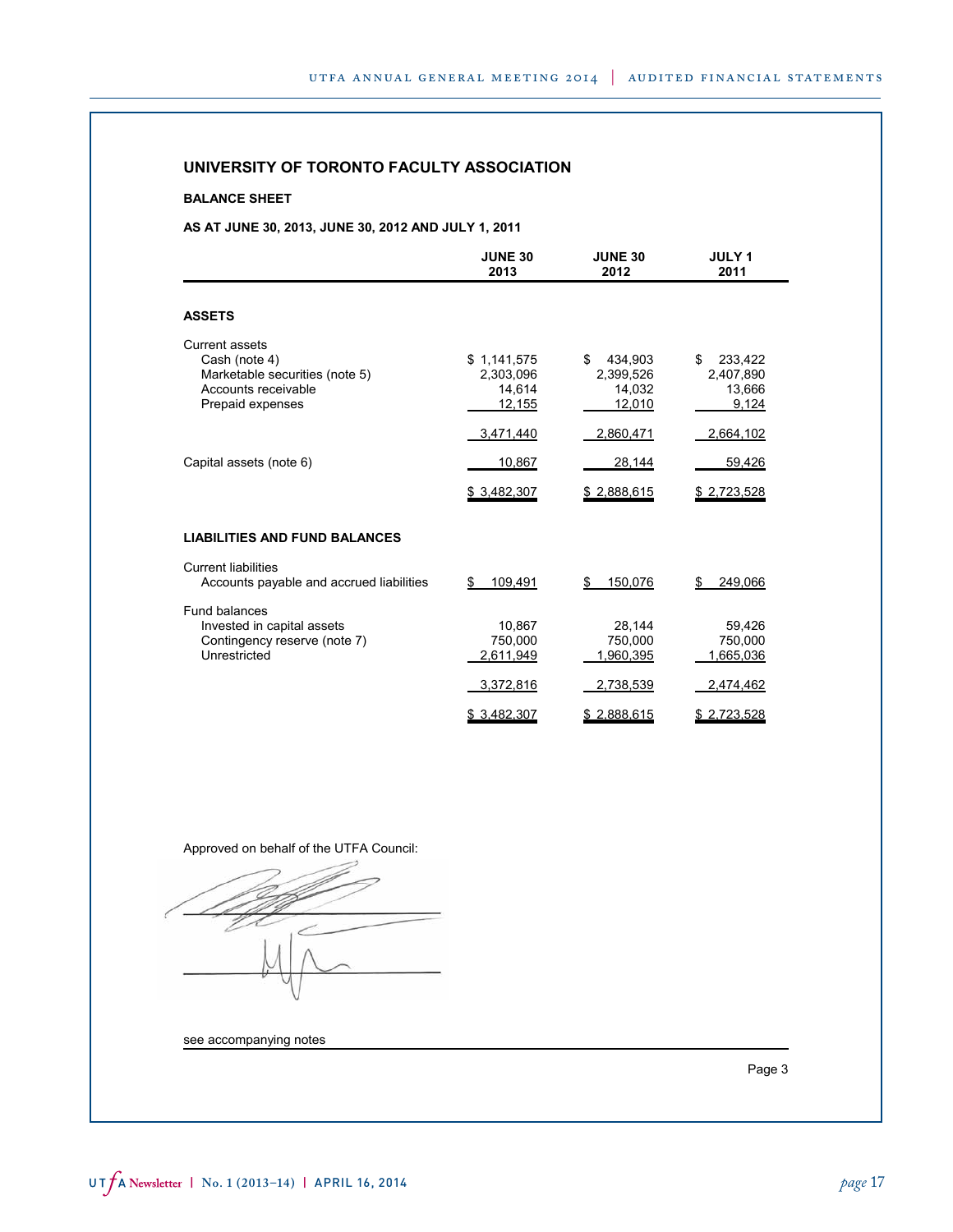### **BALANCE SHEET**

## **AS AT JUNE 30, 2013, JUNE 30, 2012 AND JULY 1, 2011**

|                                                                                                                     | <b>JUNE 30</b><br>2013                       | <b>JUNE 30</b><br>2012                         | <b>JULY 1</b><br>2011                         |
|---------------------------------------------------------------------------------------------------------------------|----------------------------------------------|------------------------------------------------|-----------------------------------------------|
| <b>ASSETS</b>                                                                                                       |                                              |                                                |                                               |
| <b>Current assets</b><br>Cash (note 4)<br>Marketable securities (note 5)<br>Accounts receivable<br>Prepaid expenses | \$1,141,575<br>2,303,096<br>14,614<br>12,155 | \$<br>434,903<br>2,399,526<br>14.032<br>12,010 | \$<br>233,422<br>2,407,890<br>13,666<br>9,124 |
|                                                                                                                     | 3,471,440                                    | 2,860,471                                      | 2,664,102                                     |
| Capital assets (note 6)                                                                                             | 10,867                                       | 28,144                                         | 59,426                                        |
|                                                                                                                     | \$3,482,307                                  | \$2,888,615                                    | \$2,723,528                                   |
| <b>LIABILITIES AND FUND BALANCES</b>                                                                                |                                              |                                                |                                               |
| <b>Current liabilities</b><br>Accounts payable and accrued liabilities                                              | \$<br>109.491                                | 150.076<br>\$                                  | 249.066<br>\$                                 |
| Fund balances<br>Invested in capital assets<br>Contingency reserve (note 7)<br>Unrestricted                         | 10.867<br>750.000<br>2,611,949               | 28,144<br>750,000<br>1,960,395                 | 59,426<br>750,000<br>1,665,036                |
|                                                                                                                     | 3,372,816                                    | 2,738,539                                      | 2,474,462                                     |
|                                                                                                                     | \$3,482,307                                  | \$2,888,615                                    | \$2,723,528                                   |

Approved on behalf of the UTFA Council:

 $\frac{1}{2}$  $\sim$ 

see accompanying notes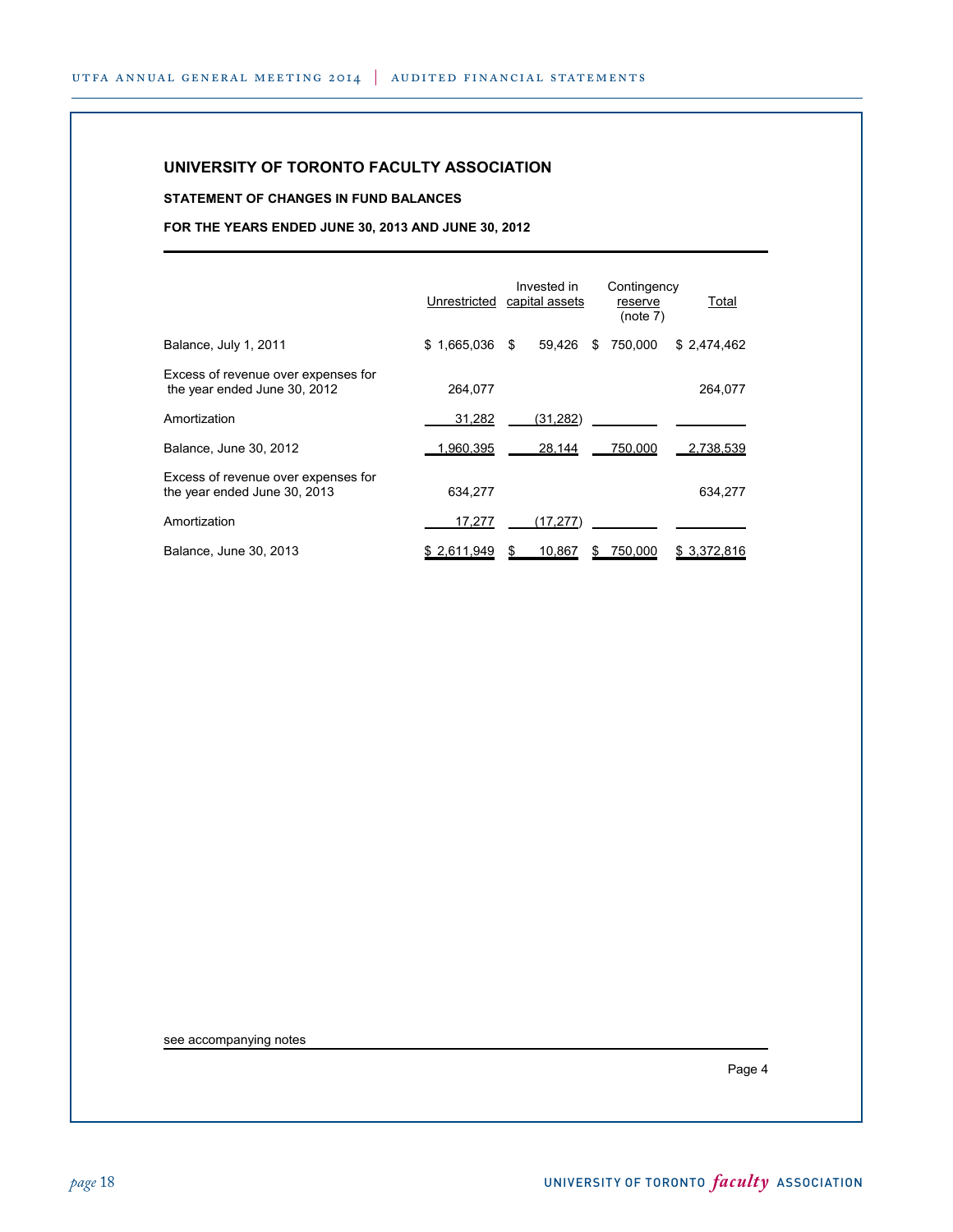## **STATEMENT OF CHANGES IN FUND BALANCES**

## **FOR THE YEARS ENDED JUNE 30, 2013 AND JUNE 30, 2012**

|                                                                     | Unrestricted        | Invested in<br>capital assets | Contingency<br>reserve<br>(note 7) | Total        |
|---------------------------------------------------------------------|---------------------|-------------------------------|------------------------------------|--------------|
| Balance, July 1, 2011                                               | 1,665,036 \$<br>\$. | 59.426                        | 750.000<br>S                       | \$2,474,462  |
| Excess of revenue over expenses for<br>the year ended June 30, 2012 | 264.077             |                               |                                    | 264,077      |
| Amortization                                                        | 31,282              | (31, 282)                     |                                    |              |
| Balance, June 30, 2012                                              | 1,960,395           | 28,144                        | 750,000                            | 2,738,539    |
| Excess of revenue over expenses for<br>the year ended June 30, 2013 | 634,277             |                               |                                    | 634,277      |
| Amortization                                                        | 17.277              | (17.277)                      |                                    |              |
| Balance, June 30, 2013                                              | \$2,611,949         | 10,867<br>S                   | 750,000<br>S                       | \$ 3,372,816 |

see accompanying notes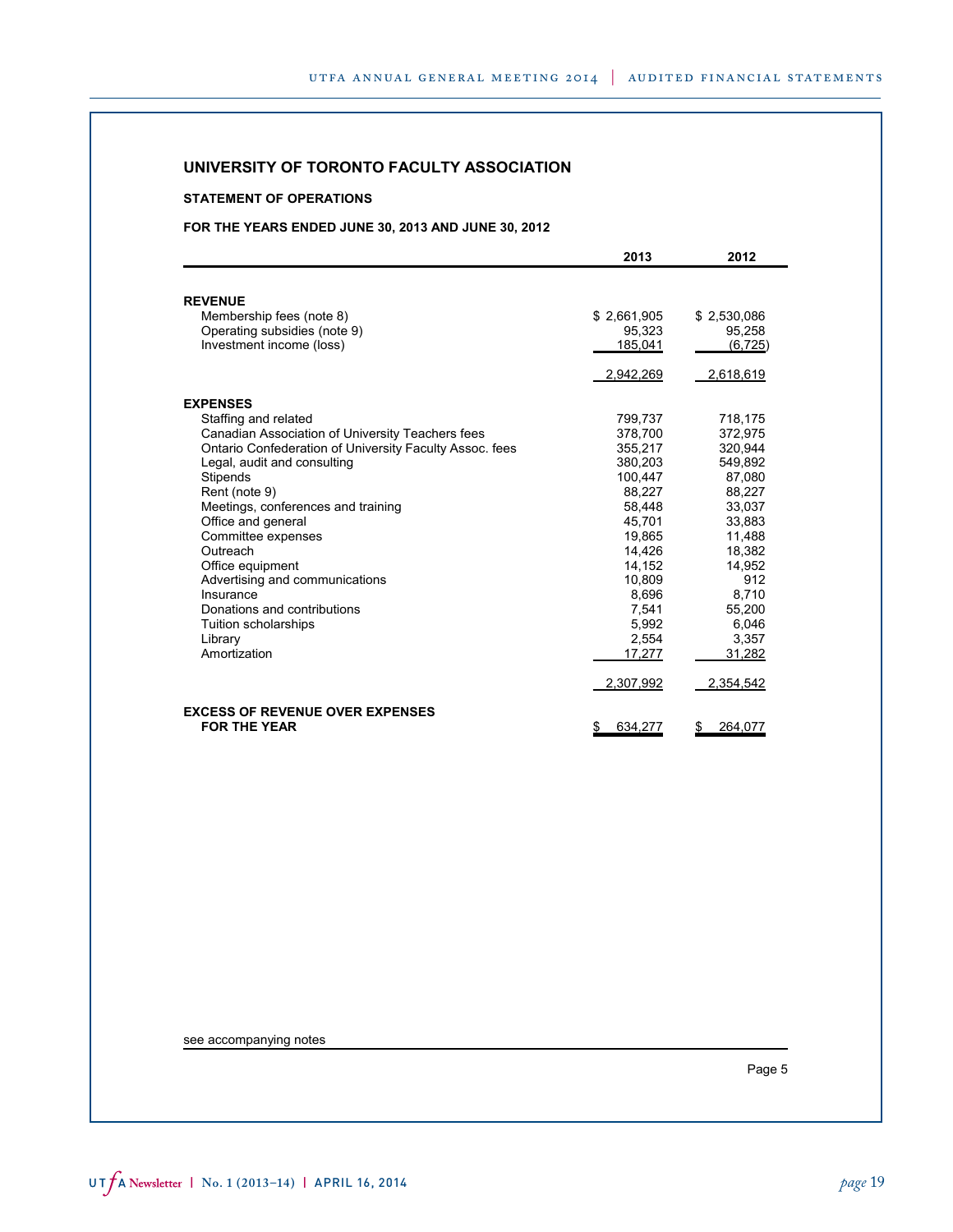### **STATEMENT OF OPERATIONS**

## **FOR THE YEARS ENDED JUNE 30, 2013 AND JUNE 30, 2012**

|                                                         | 2013          | 2012         |
|---------------------------------------------------------|---------------|--------------|
|                                                         |               |              |
| <b>REVENUE</b>                                          |               |              |
| Membership fees (note 8)                                | \$2,661,905   | \$2,530,086  |
| Operating subsidies (note 9)                            | 95,323        | 95,258       |
| Investment income (loss)                                | 185,041       | (6, 725)     |
|                                                         |               |              |
|                                                         | 2,942,269     | 2,618,619    |
| <b>EXPENSES</b>                                         |               |              |
| Staffing and related                                    | 799.737       | 718,175      |
| Canadian Association of University Teachers fees        | 378.700       | 372.975      |
| Ontario Confederation of University Faculty Assoc. fees | 355.217       | 320.944      |
| Legal, audit and consulting                             | 380.203       | 549,892      |
| <b>Stipends</b>                                         | 100.447       | 87.080       |
| Rent (note 9)                                           | 88,227        | 88,227       |
| Meetings, conferences and training                      | 58.448        | 33.037       |
| Office and general                                      | 45.701        | 33.883       |
| Committee expenses                                      | 19.865        | 11.488       |
| Outreach                                                | 14,426        | 18,382       |
| Office equipment                                        | 14,152        | 14,952       |
| Advertising and communications                          | 10.809        | 912          |
| Insurance                                               | 8.696         | 8.710        |
| Donations and contributions                             | 7,541         | 55,200       |
| Tuition scholarships                                    | 5,992         | 6,046        |
| Library<br>Amortization                                 | 2.554         | 3.357        |
|                                                         | 17,277        | 31,282       |
|                                                         | 2,307,992     | 2,354,542    |
| <b>EXCESS OF REVENUE OVER EXPENSES</b>                  |               |              |
| <b>FOR THE YEAR</b>                                     | 634,277<br>\$ | 264,077<br>S |

see accompanying notes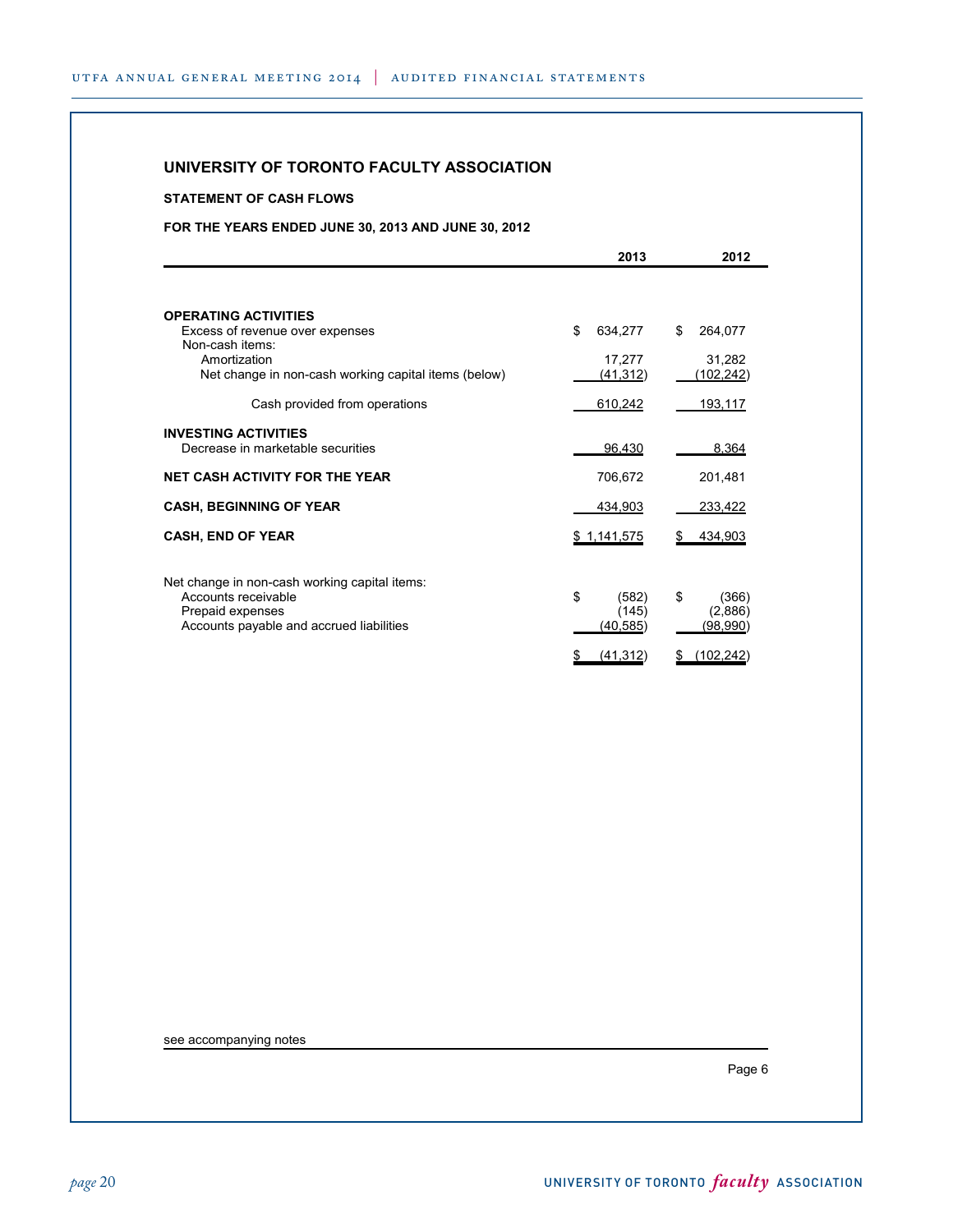## **STATEMENT OF CASH FLOWS**

## **FOR THE YEARS ENDED JUNE 30, 2013 AND JUNE 30, 2012**

|                                                                      | 2013           | 2012              |
|----------------------------------------------------------------------|----------------|-------------------|
|                                                                      |                |                   |
| <b>OPERATING ACTIVITIES</b>                                          |                |                   |
| Excess of revenue over expenses<br>Non-cash items:                   | \$<br>634,277  | \$<br>264,077     |
| Amortization                                                         | 17,277         | 31,282            |
| Net change in non-cash working capital items (below)                 | (41, 312)      | (102, 242)        |
| Cash provided from operations                                        | 610,242        | 193,117           |
| <b>INVESTING ACTIVITIES</b>                                          |                |                   |
| Decrease in marketable securities                                    | 96,430         | 8,364             |
| <b>NET CASH ACTIVITY FOR THE YEAR</b>                                | 706,672        | 201,481           |
| <b>CASH, BEGINNING OF YEAR</b>                                       | 434.903        | 233,422           |
| <b>CASH, END OF YEAR</b>                                             | \$1,141,575    | 434,903           |
|                                                                      |                |                   |
| Net change in non-cash working capital items:<br>Accounts receivable | \$<br>(582)    | \$<br>(366)       |
| Prepaid expenses                                                     | (145)          | (2,886)           |
| Accounts payable and accrued liabilities                             | (40, 585)      | (98, 990)         |
|                                                                      | (41, 312)<br>S | (102, 242)<br>\$. |

see accompanying notes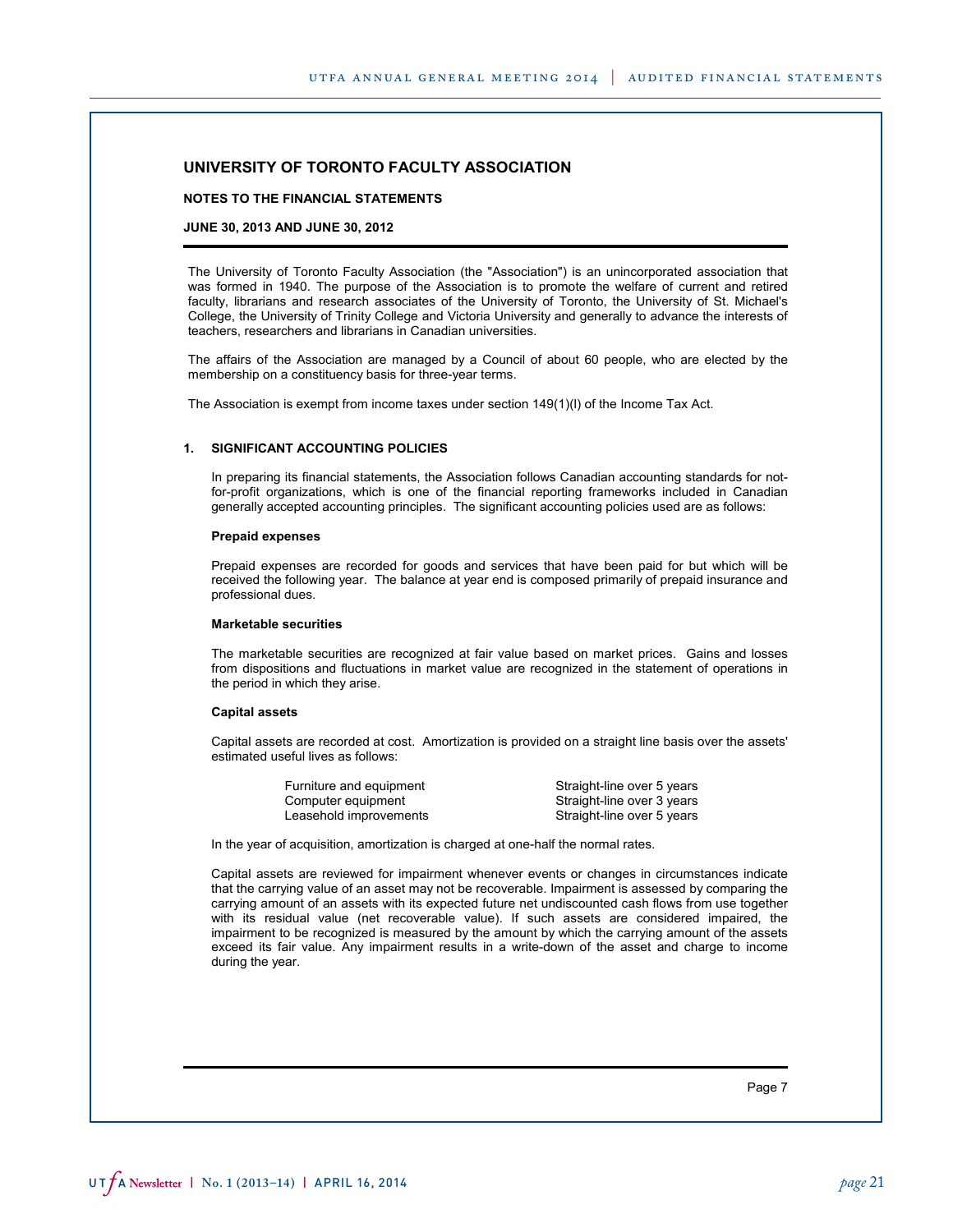**NOTES TO THE FINANCIAL STATEMENTS**

#### **JUNE 30, 2013 AND JUNE 30, 2012**

The University of Toronto Faculty Association (the "Association") is an unincorporated association that was formed in 1940. The purpose of the Association is to promote the welfare of current and retired faculty, librarians and research associates of the University of Toronto, the University of St. Michael's College, the University of Trinity College and Victoria University and generally to advance the interests of teachers, researchers and librarians in Canadian universities.

The affairs of the Association are managed by a Council of about 60 people, who are elected by the membership on a constituency basis for three-year terms.

The Association is exempt from income taxes under section 149(1)(l) of the Income Tax Act.

#### **1. SIGNIFICANT ACCOUNTING POLICIES**

In preparing its financial statements, the Association follows Canadian accounting standards for notfor-profit organizations, which is one of the financial reporting frameworks included in Canadian generally accepted accounting principles. The significant accounting policies used are as follows:

#### **Prepaid expenses**

Prepaid expenses are recorded for goods and services that have been paid for but which will be received the following year. The balance at year end is composed primarily of prepaid insurance and professional dues.

#### **Marketable securities**

The marketable securities are recognized at fair value based on market prices. Gains and losses from dispositions and fluctuations in market value are recognized in the statement of operations in the period in which they arise.

#### **Capital assets**

Capital assets are recorded at cost. Amortization is provided on a straight line basis over the assets' estimated useful lives as follows:

| Furniture and equipment | Straight-line over 5 years |
|-------------------------|----------------------------|
| Computer equipment      | Straight-line over 3 years |
| Leasehold improvements  | Straight-line over 5 years |

In the year of acquisition, amortization is charged at one-half the normal rates.

Capital assets are reviewed for impairment whenever events or changes in circumstances indicate that the carrying value of an asset may not be recoverable. Impairment is assessed by comparing the carrying amount of an assets with its expected future net undiscounted cash flows from use together with its residual value (net recoverable value). If such assets are considered impaired, the impairment to be recognized is measured by the amount by which the carrying amount of the assets exceed its fair value. Any impairment results in a write-down of the asset and charge to income during the year.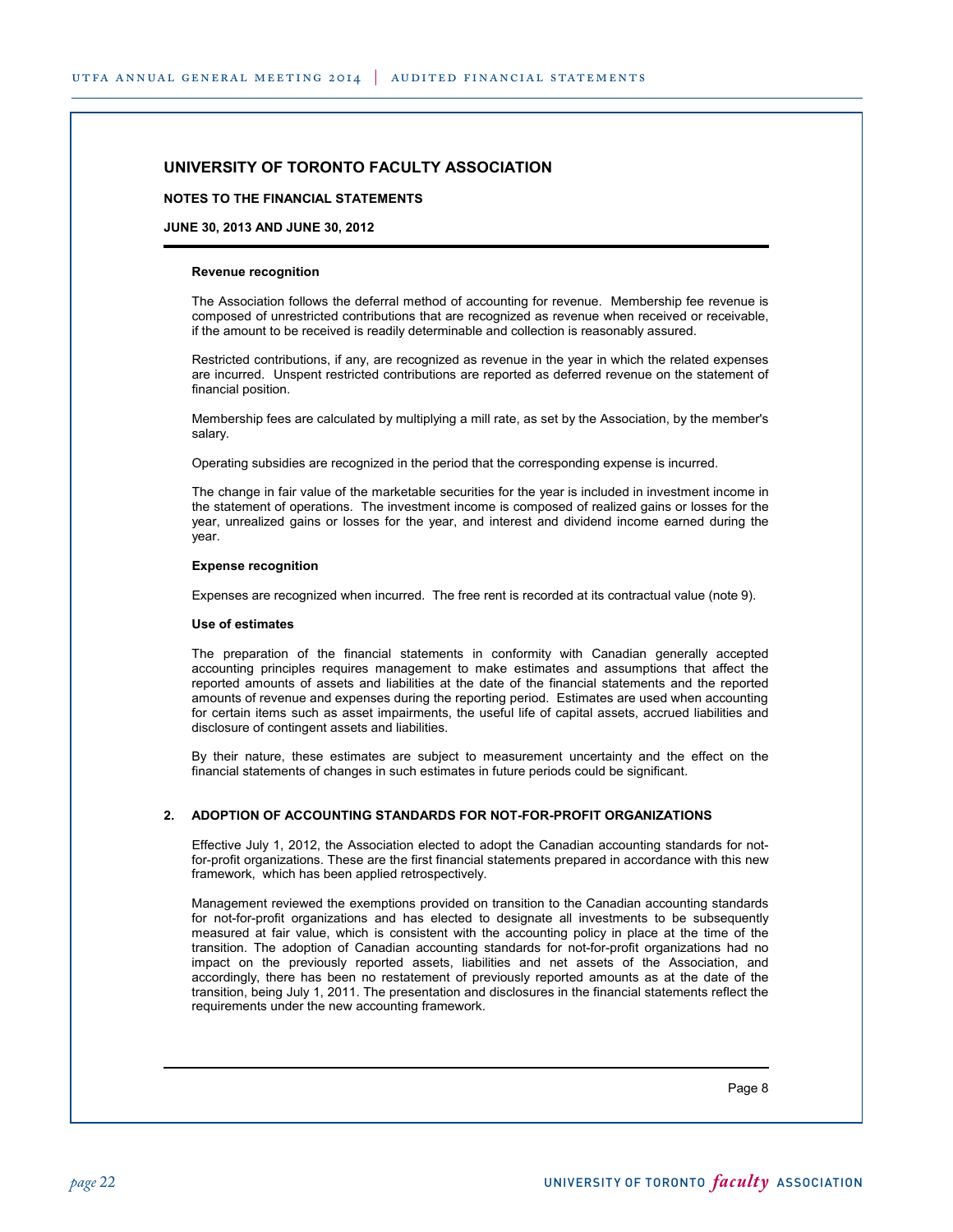#### **NOTES TO THE FINANCIAL STATEMENTS**

#### **JUNE 30, 2013 AND JUNE 30, 2012**

#### **Revenue recognition**

The Association follows the deferral method of accounting for revenue. Membership fee revenue is composed of unrestricted contributions that are recognized as revenue when received or receivable, if the amount to be received is readily determinable and collection is reasonably assured.

Restricted contributions, if any, are recognized as revenue in the year in which the related expenses are incurred. Unspent restricted contributions are reported as deferred revenue on the statement of financial position.

Membership fees are calculated by multiplying a mill rate, as set by the Association, by the member's salary.

Operating subsidies are recognized in the period that the corresponding expense is incurred.

The change in fair value of the marketable securities for the year is included in investment income in the statement of operations. The investment income is composed of realized gains or losses for the year, unrealized gains or losses for the year, and interest and dividend income earned during the year.

#### **Expense recognition**

Expenses are recognized when incurred. The free rent is recorded at its contractual value (note 9).

#### **Use of estimates**

The preparation of the financial statements in conformity with Canadian generally accepted accounting principles requires management to make estimates and assumptions that affect the reported amounts of assets and liabilities at the date of the financial statements and the reported amounts of revenue and expenses during the reporting period. Estimates are used when accounting for certain items such as asset impairments, the useful life of capital assets, accrued liabilities and disclosure of contingent assets and liabilities.

By their nature, these estimates are subject to measurement uncertainty and the effect on the financial statements of changes in such estimates in future periods could be significant.

#### **2. ADOPTION OF ACCOUNTING STANDARDS FOR NOT-FOR-PROFIT ORGANIZATIONS**

Effective July 1, 2012, the Association elected to adopt the Canadian accounting standards for notfor-profit organizations. These are the first financial statements prepared in accordance with this new framework, which has been applied retrospectively.

Management reviewed the exemptions provided on transition to the Canadian accounting standards for not-for-profit organizations and has elected to designate all investments to be subsequently measured at fair value, which is consistent with the accounting policy in place at the time of the transition. The adoption of Canadian accounting standards for not-for-profit organizations had no impact on the previously reported assets, liabilities and net assets of the Association, and accordingly, there has been no restatement of previously reported amounts as at the date of the transition, being July 1, 2011. The presentation and disclosures in the financial statements reflect the requirements under the new accounting framework.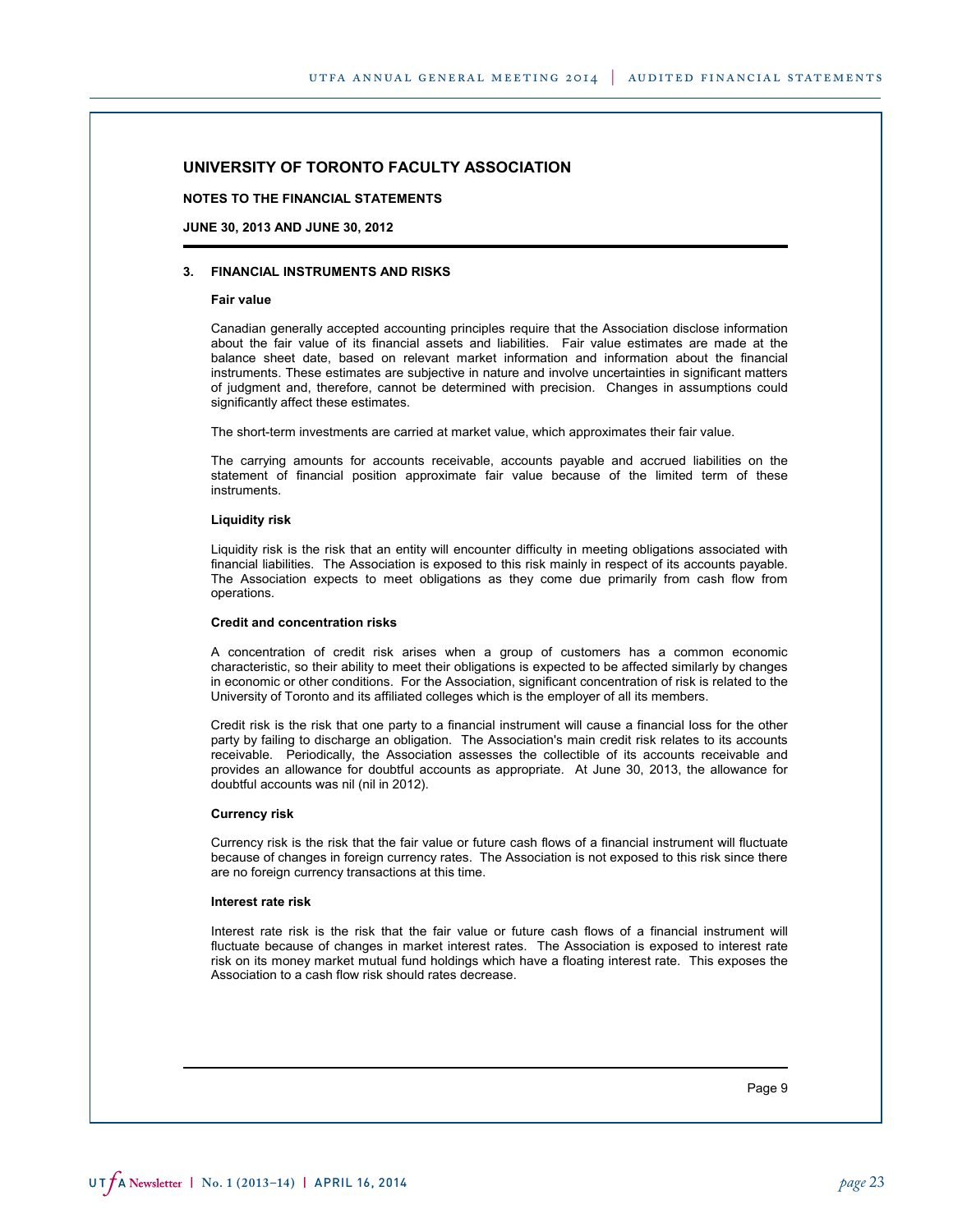**NOTES TO THE FINANCIAL STATEMENTS**

**JUNE 30, 2013 AND JUNE 30, 2012**

#### **3. FINANCIAL INSTRUMENTS AND RISKS**

#### **Fair value**

Canadian generally accepted accounting principles require that the Association disclose information about the fair value of its financial assets and liabilities. Fair value estimates are made at the balance sheet date, based on relevant market information and information about the financial instruments. These estimates are subjective in nature and involve uncertainties in significant matters of judgment and, therefore, cannot be determined with precision. Changes in assumptions could significantly affect these estimates.

The short-term investments are carried at market value, which approximates their fair value.

The carrying amounts for accounts receivable, accounts payable and accrued liabilities on the statement of financial position approximate fair value because of the limited term of these instruments.

#### **Liquidity risk**

Liquidity risk is the risk that an entity will encounter difficulty in meeting obligations associated with financial liabilities. The Association is exposed to this risk mainly in respect of its accounts payable. The Association expects to meet obligations as they come due primarily from cash flow from operations.

#### **Credit and concentration risks**

A concentration of credit risk arises when a group of customers has a common economic characteristic, so their ability to meet their obligations is expected to be affected similarly by changes in economic or other conditions. For the Association, significant concentration of risk is related to the University of Toronto and its affiliated colleges which is the employer of all its members.

Credit risk is the risk that one party to a financial instrument will cause a financial loss for the other party by failing to discharge an obligation. The Association's main credit risk relates to its accounts receivable. Periodically, the Association assesses the collectible of its accounts receivable and provides an allowance for doubtful accounts as appropriate. At June 30, 2013, the allowance for doubtful accounts was nil (nil in 2012).

#### **Currency risk**

Currency risk is the risk that the fair value or future cash flows of a financial instrument will fluctuate because of changes in foreign currency rates. The Association is not exposed to this risk since there are no foreign currency transactions at this time.

#### **Interest rate risk**

Interest rate risk is the risk that the fair value or future cash flows of a financial instrument will fluctuate because of changes in market interest rates. The Association is exposed to interest rate risk on its money market mutual fund holdings which have a floating interest rate. This exposes the Association to a cash flow risk should rates decrease.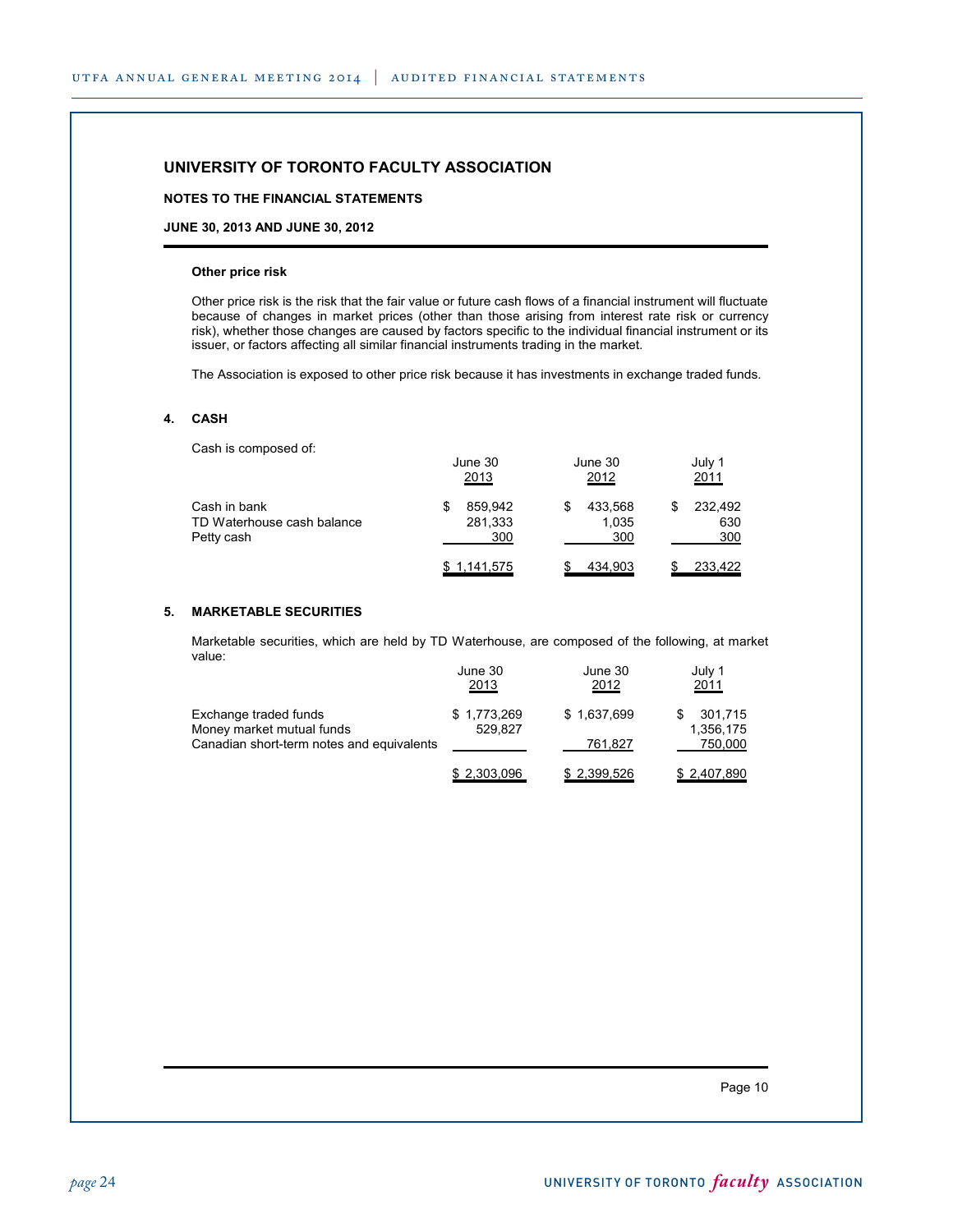### **NOTES TO THE FINANCIAL STATEMENTS**

**JUNE 30, 2013 AND JUNE 30, 2012**

#### **Other price risk**

Other price risk is the risk that the fair value or future cash flows of a financial instrument will fluctuate because of changes in market prices (other than those arising from interest rate risk or currency risk), whether those changes are caused by factors specific to the individual financial instrument or its issuer, or factors affecting all similar financial instruments trading in the market.

The Association is exposed to other price risk because it has investments in exchange traded funds.

### **4. CASH**

Cash is composed of:

|                                                          | June 30<br>2013                | June 30<br>2012         | July 1<br>2011        |
|----------------------------------------------------------|--------------------------------|-------------------------|-----------------------|
| Cash in bank<br>TD Waterhouse cash balance<br>Petty cash | 859.942<br>S<br>281,333<br>300 | 433,568<br>1,035<br>300 | 232,492<br>630<br>300 |
|                                                          | <u>\$1,141,575</u>             | 434,903                 | 233,422               |

#### **5. MARKETABLE SECURITIES**

Marketable securities, which are held by TD Waterhouse, are composed of the following, at market value:  $\frac{1}{20}$  June 30 July 1

|                                           | June 30      | June 30     | JUIV 1      |
|-------------------------------------------|--------------|-------------|-------------|
|                                           | <u> 2013</u> | 2012        | 2011        |
| Exchange traded funds                     | \$1,773,269  | \$1,637,699 | 301,715     |
| Money market mutual funds                 | 529.827      |             | 1.356.175   |
| Canadian short-term notes and equivalents |              | 761,827     | 750,000     |
|                                           | \$2,303,096  | \$2,399,526 | \$2,407,890 |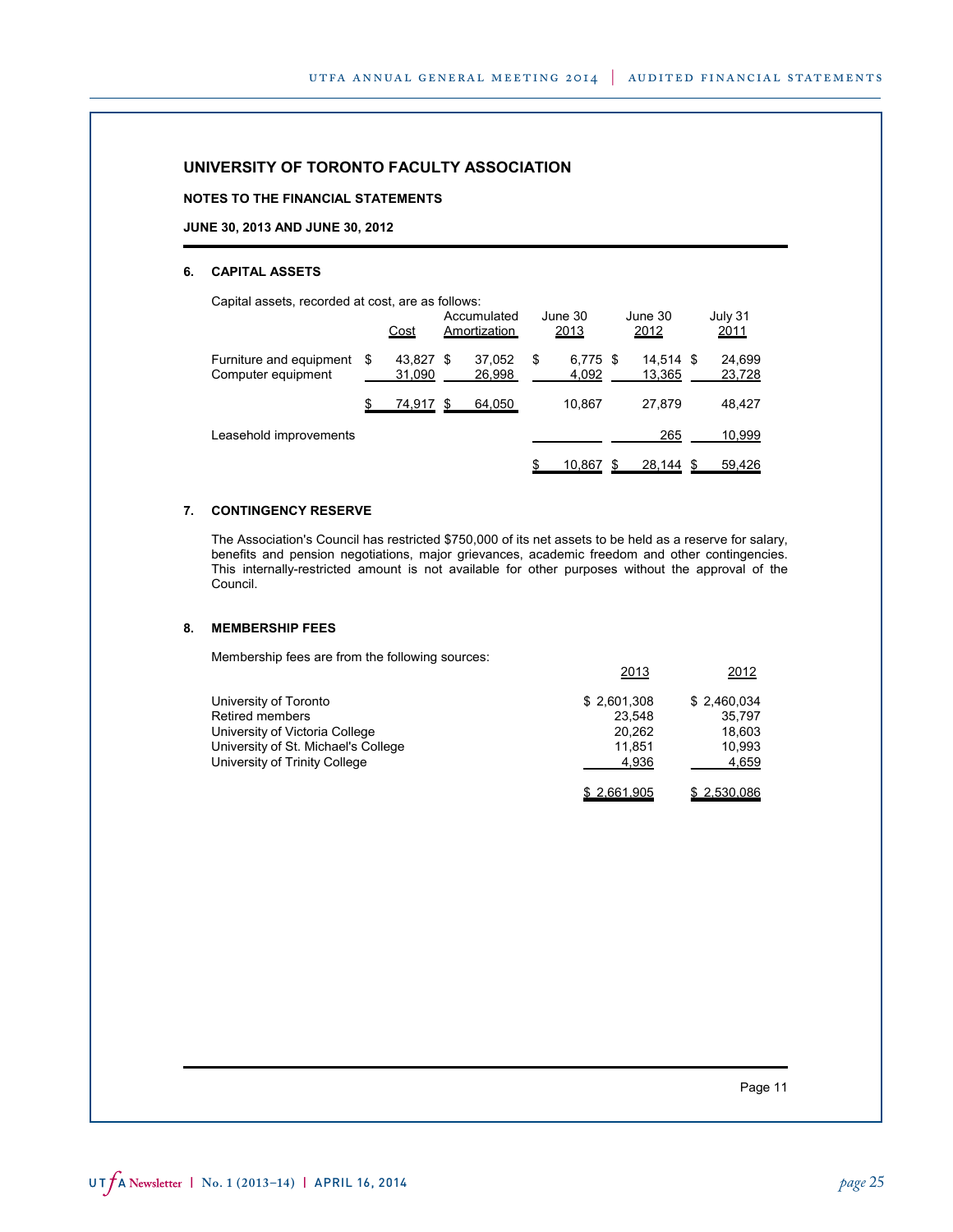**NOTES TO THE FINANCIAL STATEMENTS**

#### **JUNE 30, 2013 AND JUNE 30, 2012**

#### **6. CAPITAL ASSETS**

Capital assets, recorded at cost, are as follows:

|                                               |   | <u>Cost</u>      |     | Accumulated<br>Amortization |   | June 30<br>2013   | June 30<br>2012  |      | July 31<br>2011  |
|-----------------------------------------------|---|------------------|-----|-----------------------------|---|-------------------|------------------|------|------------------|
| Furniture and equipment<br>Computer equipment | S | 43.827<br>31,090 | \$. | 37.052<br>26.998            | S | 6,775 \$<br>4,092 | 14.514<br>13,365 | - \$ | 24.699<br>23,728 |
|                                               |   | 74,917           | S   | 64,050                      |   | 10.867            | 27.879           |      | 48,427           |
| Leasehold improvements                        |   |                  |     |                             |   |                   | 265              |      | 10,999           |
|                                               |   |                  |     |                             |   | 10.867            | 28,144           | -S   | 59,426           |

### **7. CONTINGENCY RESERVE**

The Association's Council has restricted \$750,000 of its net assets to be held as a reserve for salary, benefits and pension negotiations, major grievances, academic freedom and other contingencies. This internally-restricted amount is not available for other purposes without the approval of the Council.

### **8. MEMBERSHIP FEES**

Membership fees are from the following sources:

|                                     | 2013        | 2012        |
|-------------------------------------|-------------|-------------|
| University of Toronto               | \$2,601,308 | \$2.460.034 |
| <b>Retired members</b>              | 23.548      | 35.797      |
| University of Victoria College      | 20.262      | 18.603      |
| University of St. Michael's College | 11.851      | 10.993      |
| University of Trinity College       | 4.936       | 4,659       |
|                                     | \$2,661,905 | \$2,530,086 |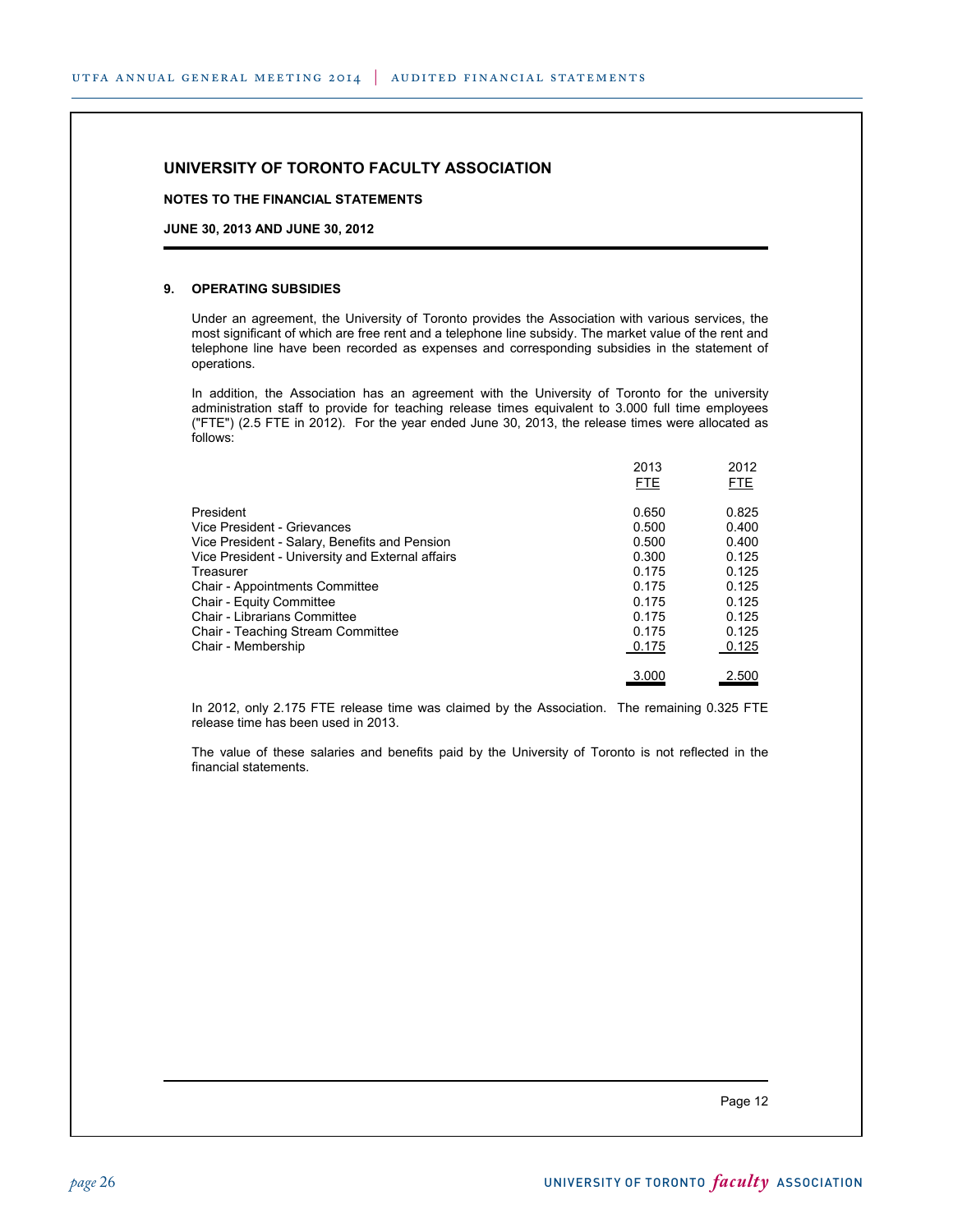**NOTES TO THE FINANCIAL STATEMENTS**

**JUNE 30, 2013 AND JUNE 30, 2012**

### **9. OPERATING SUBSIDIES**

Under an agreement, the University of Toronto provides the Association with various services, the most significant of which are free rent and a telephone line subsidy. The market value of the rent and telephone line have been recorded as expenses and corresponding subsidies in the statement of operations.

In addition, the Association has an agreement with the University of Toronto for the university administration staff to provide for teaching release times equivalent to 3.000 full time employees ("FTE") (2.5 FTE in 2012). For the year ended June 30, 2013, the release times were allocated as follows:

|                                                  | 2013<br><b>FTE</b> | 2012<br><b>FTE</b> |
|--------------------------------------------------|--------------------|--------------------|
| President                                        | 0.650              | 0.825              |
| Vice President - Grievances                      | 0.500              | 0.400              |
| Vice President - Salary, Benefits and Pension    | 0.500              | 0.400              |
| Vice President - University and External affairs | 0.300              | 0.125              |
| Treasurer                                        | 0.175              | 0.125              |
| <b>Chair - Appointments Committee</b>            | 0.175              | 0.125              |
| Chair - Equity Committee                         | 0.175              | 0.125              |
| Chair - Librarians Committee                     | 0.175              | 0.125              |
| Chair - Teaching Stream Committee                | 0.175              | 0.125              |
| Chair - Membership                               | 0.175              | 0.125              |
|                                                  | 3.000              | 2.500              |

In 2012, only 2.175 FTE release time was claimed by the Association. The remaining 0.325 FTE release time has been used in 2013.

The value of these salaries and benefits paid by the University of Toronto is not reflected in the financial statements.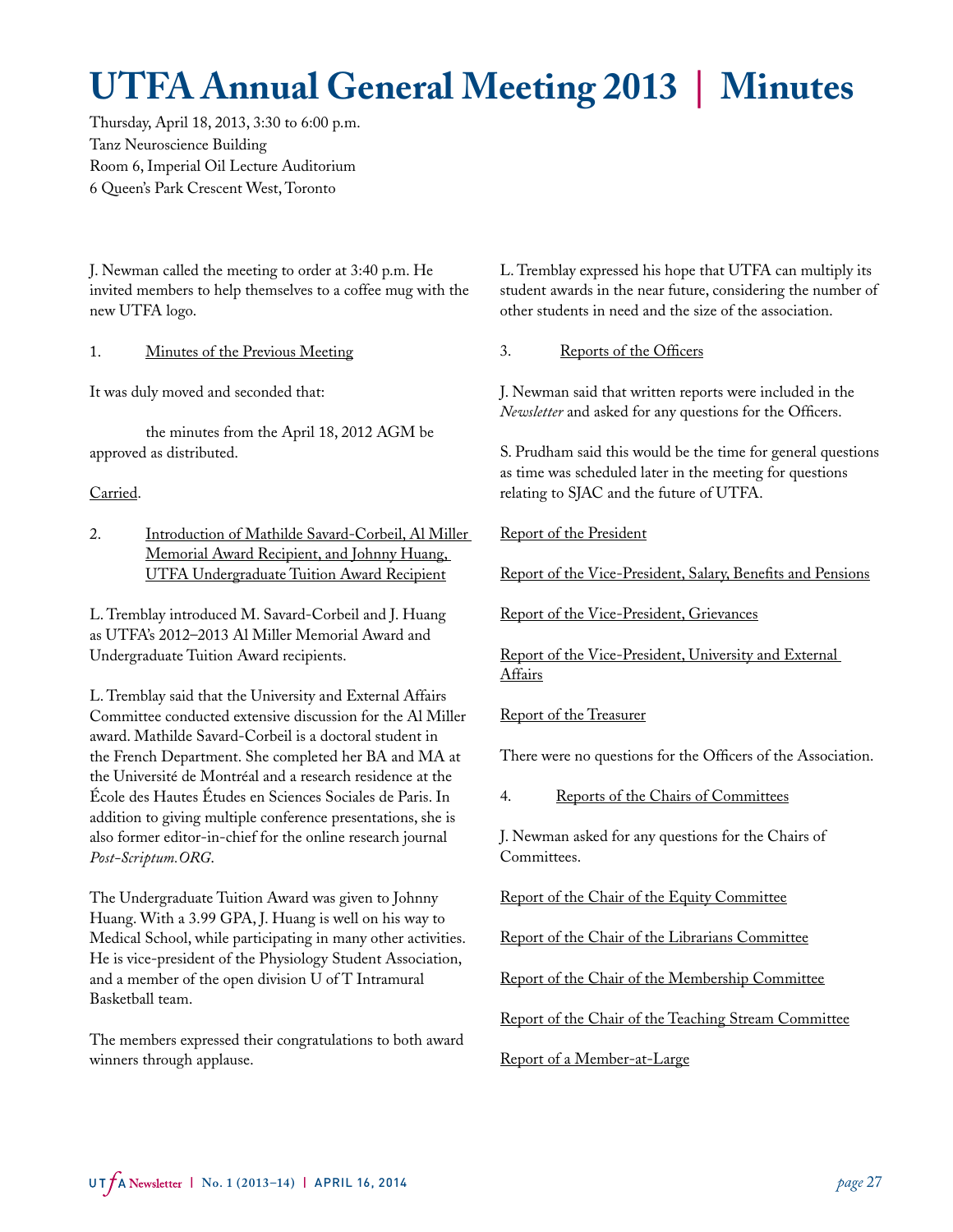# **UTFA Annual General Meeting 2013 | Minutes**

Thursday, April 18, 2013, 3:30 to 6:00 p.m. Tanz Neuroscience Building Room 6, Imperial Oil Lecture Auditorium 6 Queen's Park Crescent West, Toronto

J. Newman called the meeting to order at 3:40 p.m. He invited members to help themselves to a coffee mug with the new UTFA logo.

1. Minutes of the Previous Meeting

It was duly moved and seconded that:

the minutes from the April 18, 2012 AGM be approved as distributed.

Carried.

2. Introduction of Mathilde Savard-Corbeil, Al Miller Memorial Award Recipient, and Johnny Huang, UTFA Undergraduate Tuition Award Recipient

L. Tremblay introduced M. Savard-Corbeil and J. Huang as UTFA's 2012–2013 Al Miller Memorial Award and Undergraduate Tuition Award recipients.

L. Tremblay said that the University and External Affairs Committee conducted extensive discussion for the Al Miller award. Mathilde Savard-Corbeil is a doctoral student in the French Department. She completed her BA and MA at the Université de Montréal and a research residence at the École des Hautes Études en Sciences Sociales de Paris. In addition to giving multiple conference presentations, she is also former editor-in-chief for the online research journal *Post-Scriptum.ORG*.

The Undergraduate Tuition Award was given to Johnny Huang. With a 3.99 GPA, J. Huang is well on his way to Medical School, while participating in many other activities. He is vice-president of the Physiology Student Association, and a member of the open division U of T Intramural Basketball team.

The members expressed their congratulations to both award winners through applause.

L. Tremblay expressed his hope that UTFA can multiply its student awards in the near future, considering the number of other students in need and the size of the association.

3. Reports of the Officers

J. Newman said that written reports were included in the *Newsletter* and asked for any questions for the Officers.

S. Prudham said this would be the time for general questions as time was scheduled later in the meeting for questions relating to SJAC and the future of UTFA.

Report of the President

Report of the Vice-President, Salary, Benefits and Pensions

Report of the Vice-President, Grievances

Report of the Vice-President, University and External Affairs

Report of the Treasurer

There were no questions for the Officers of the Association.

4. Reports of the Chairs of Committees

J. Newman asked for any questions for the Chairs of Committees.

Report of the Chair of the Equity Committee

Report of the Chair of the Librarians Committee

Report of the Chair of the Membership Committee

Report of the Chair of the Teaching Stream Committee

Report of a Member-at-Large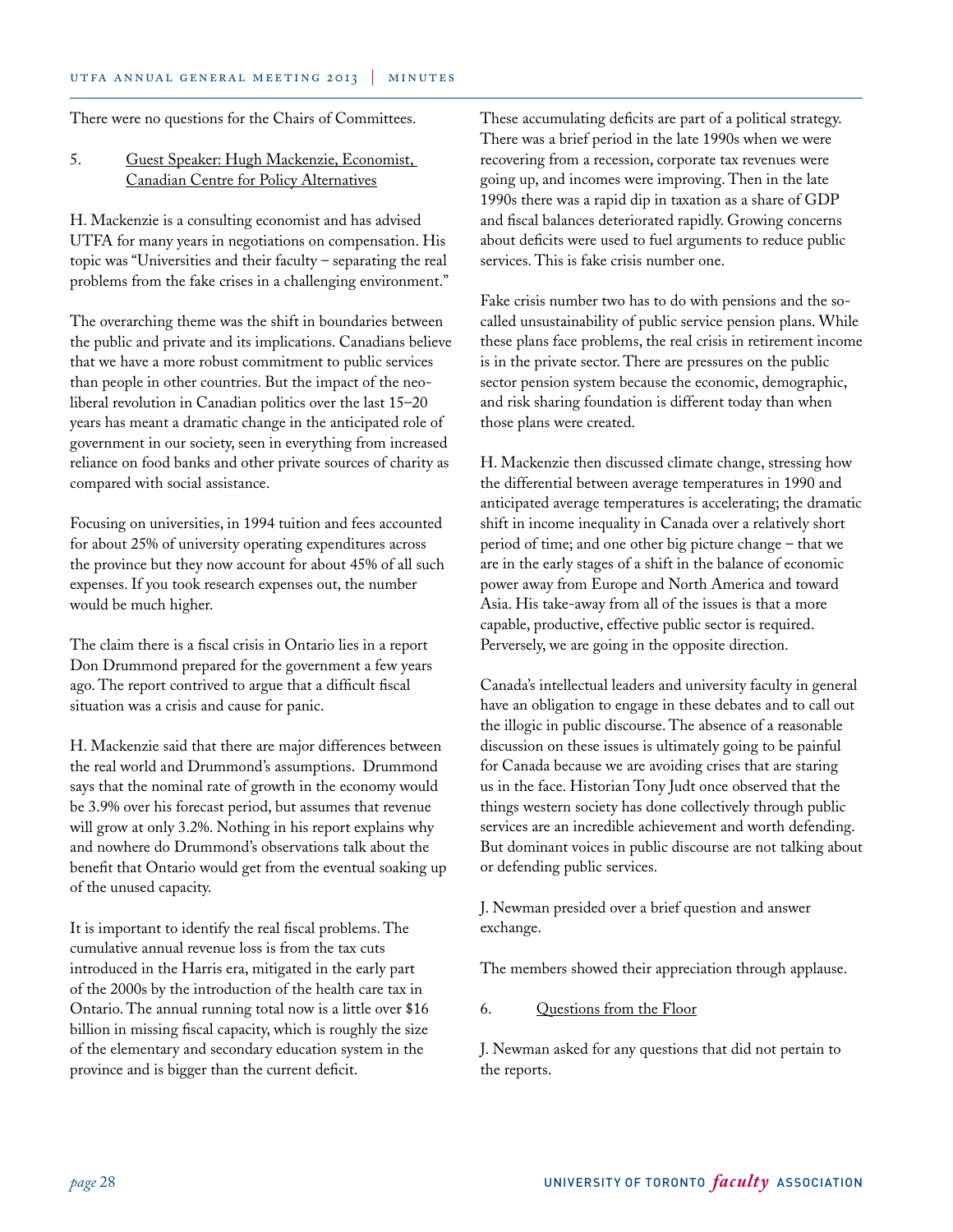There were no questions for the Chairs of Committees.

## 5. Guest Speaker: Hugh Mackenzie, Economist, Canadian Centre for Policy Alternatives

H. Mackenzie is a consulting economist and has advised UTFA for many years in negotiations on compensation. His topic was "Universities and their faculty – separating the real problems from the fake crises in a challenging environment."

The overarching theme was the shift in boundaries between the public and private and its implications. Canadians believe that we have a more robust commitment to public services than people in other countries. But the impact of the neoliberal revolution in Canadian politics over the last 15–20 years has meant a dramatic change in the anticipated role of government in our society, seen in everything from increased reliance on food banks and other private sources of charity as compared with social assistance.

Focusing on universities, in 1994 tuition and fees accounted for about 25% of university operating expenditures across the province but they now account for about 45% of all such expenses. If you took research expenses out, the number would be much higher.

The claim there is a fiscal crisis in Ontario lies in a report Don Drummond prepared for the government a few years ago. The report contrived to argue that a difficult fiscal situation was a crisis and cause for panic.

H. Mackenzie said that there are major differences between the real world and Drummond's assumptions. Drummond says that the nominal rate of growth in the economy would be 3.9% over his forecast period, but assumes that revenue will grow at only 3.2%. Nothing in his report explains why and nowhere do Drummond's observations talk about the benefit that Ontario would get from the eventual soaking up of the unused capacity.

It is important to identify the real fiscal problems. The cumulative annual revenue loss is from the tax cuts introduced in the Harris era, mitigated in the early part of the 2000s by the introduction of the health care tax in Ontario. The annual running total now is a little over \$16 billion in missing fiscal capacity, which is roughly the size of the elementary and secondary education system in the province and is bigger than the current deficit.

These accumulating deficits are part of a political strategy. There was a brief period in the late 1990s when we were recovering from a recession, corporate tax revenues were going up, and incomes were improving. Then in the late 1990s there was a rapid dip in taxation as a share of GDP and fiscal balances deteriorated rapidly. Growing concerns about deficits were used to fuel arguments to reduce public services. This is fake crisis number one.

Fake crisis number two has to do with pensions and the socalled unsustainability of public service pension plans. While these plans face problems, the real crisis in retirement income is in the private sector. There are pressures on the public sector pension system because the economic, demographic, and risk sharing foundation is different today than when those plans were created.

H. Mackenzie then discussed climate change, stressing how the differential between average temperatures in 1990 and anticipated average temperatures is accelerating; the dramatic shift in income inequality in Canada over a relatively short period of time; and one other big picture change – that we are in the early stages of a shift in the balance of economic power away from Europe and North America and toward Asia. His take-away from all of the issues is that a more capable, productive, effective public sector is required. Perversely, we are going in the opposite direction.

Canada's intellectual leaders and university faculty in general have an obligation to engage in these debates and to call out the illogic in public discourse. The absence of a reasonable discussion on these issues is ultimately going to be painful for Canada because we are avoiding crises that are staring us in the face. Historian Tony Judt once observed that the things western society has done collectively through public services are an incredible achievement and worth defending. But dominant voices in public discourse are not talking about or defending public services.

J. Newman presided over a brief question and answer exchange.

The members showed their appreciation through applause.

## 6. Questions from the Floor

J. Newman asked for any questions that did not pertain to the reports.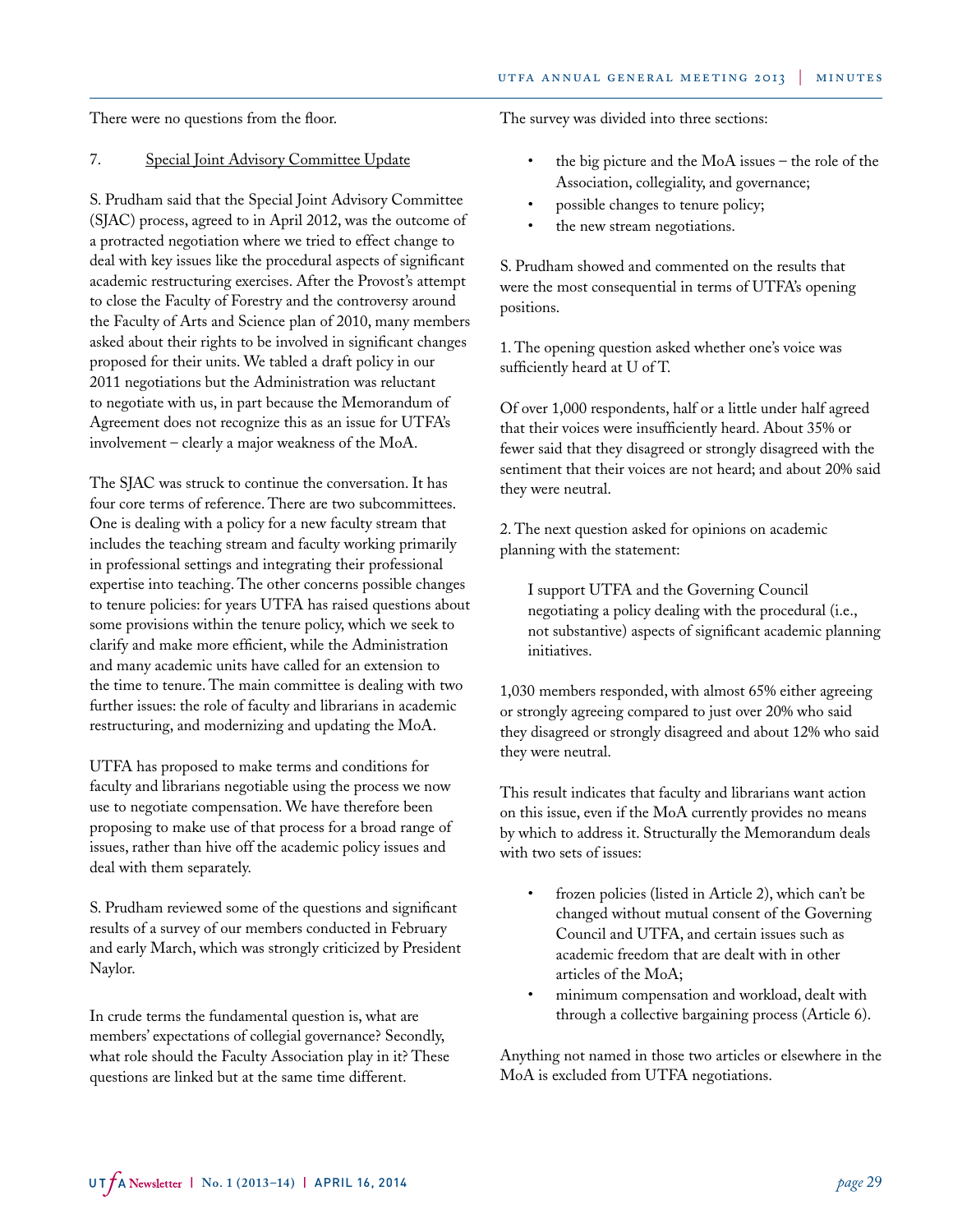There were no questions from the floor.

## 7. Special Joint Advisory Committee Update

S. Prudham said that the Special Joint Advisory Committee (SJAC) process, agreed to in April 2012, was the outcome of a protracted negotiation where we tried to effect change to deal with key issues like the procedural aspects of significant academic restructuring exercises. After the Provost's attempt to close the Faculty of Forestry and the controversy around the Faculty of Arts and Science plan of 2010, many members asked about their rights to be involved in significant changes proposed for their units. We tabled a draft policy in our 2011 negotiations but the Administration was reluctant to negotiate with us, in part because the Memorandum of Agreement does not recognize this as an issue for UTFA's involvement – clearly a major weakness of the MoA.

The SJAC was struck to continue the conversation. It has four core terms of reference. There are two subcommittees. One is dealing with a policy for a new faculty stream that includes the teaching stream and faculty working primarily in professional settings and integrating their professional expertise into teaching. The other concerns possible changes to tenure policies: for years UTFA has raised questions about some provisions within the tenure policy, which we seek to clarify and make more efficient, while the Administration and many academic units have called for an extension to the time to tenure. The main committee is dealing with two further issues: the role of faculty and librarians in academic restructuring, and modernizing and updating the MoA.

UTFA has proposed to make terms and conditions for faculty and librarians negotiable using the process we now use to negotiate compensation. We have therefore been proposing to make use of that process for a broad range of issues, rather than hive off the academic policy issues and deal with them separately.

S. Prudham reviewed some of the questions and significant results of a survey of our members conducted in February and early March, which was strongly criticized by President Naylor.

In crude terms the fundamental question is, what are members' expectations of collegial governance? Secondly, what role should the Faculty Association play in it? These questions are linked but at the same time different.

The survey was divided into three sections:

- the big picture and the MoA issues the role of the Association, collegiality, and governance;
- possible changes to tenure policy;
- the new stream negotiations.

S. Prudham showed and commented on the results that were the most consequential in terms of UTFA's opening positions.

1. The opening question asked whether one's voice was sufficiently heard at U of T.

Of over 1,000 respondents, half or a little under half agreed that their voices were insufficiently heard. About 35% or fewer said that they disagreed or strongly disagreed with the sentiment that their voices are not heard; and about 20% said they were neutral.

2. The next question asked for opinions on academic planning with the statement:

I support UTFA and the Governing Council negotiating a policy dealing with the procedural (i.e., not substantive) aspects of significant academic planning initiatives.

1,030 members responded, with almost 65% either agreeing or strongly agreeing compared to just over 20% who said they disagreed or strongly disagreed and about 12% who said they were neutral.

This result indicates that faculty and librarians want action on this issue, even if the MoA currently provides no means by which to address it. Structurally the Memorandum deals with two sets of issues:

- frozen policies (listed in Article 2), which can't be changed without mutual consent of the Governing Council and UTFA, and certain issues such as academic freedom that are dealt with in other articles of the MoA;
- minimum compensation and workload, dealt with through a collective bargaining process (Article 6).

Anything not named in those two articles or elsewhere in the MoA is excluded from UTFA negotiations.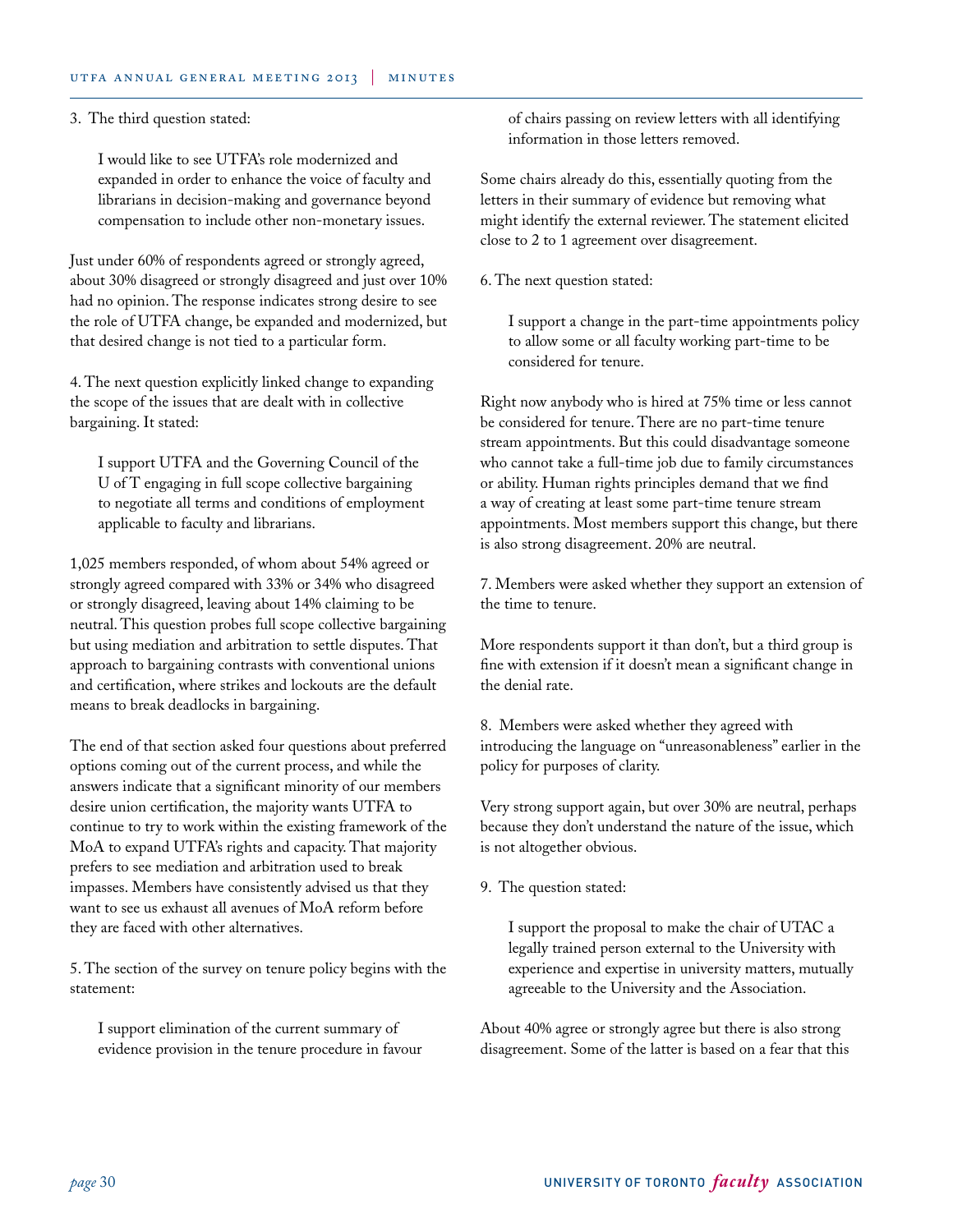### 3. The third question stated:

I would like to see UTFA's role modernized and expanded in order to enhance the voice of faculty and librarians in decision-making and governance beyond compensation to include other non-monetary issues.

Just under 60% of respondents agreed or strongly agreed, about 30% disagreed or strongly disagreed and just over 10% had no opinion. The response indicates strong desire to see the role of UTFA change, be expanded and modernized, but that desired change is not tied to a particular form.

4. The next question explicitly linked change to expanding the scope of the issues that are dealt with in collective bargaining. It stated:

I support UTFA and the Governing Council of the U of T engaging in full scope collective bargaining to negotiate all terms and conditions of employment applicable to faculty and librarians.

1,025 members responded, of whom about 54% agreed or strongly agreed compared with 33% or 34% who disagreed or strongly disagreed, leaving about 14% claiming to be neutral. This question probes full scope collective bargaining but using mediation and arbitration to settle disputes. That approach to bargaining contrasts with conventional unions and certification, where strikes and lockouts are the default means to break deadlocks in bargaining.

The end of that section asked four questions about preferred options coming out of the current process, and while the answers indicate that a significant minority of our members desire union certification, the majority wants UTFA to continue to try to work within the existing framework of the MoA to expand UTFA's rights and capacity. That majority prefers to see mediation and arbitration used to break impasses. Members have consistently advised us that they want to see us exhaust all avenues of MoA reform before they are faced with other alternatives.

5. The section of the survey on tenure policy begins with the statement:

I support elimination of the current summary of evidence provision in the tenure procedure in favour of chairs passing on review letters with all identifying information in those letters removed.

Some chairs already do this, essentially quoting from the letters in their summary of evidence but removing what might identify the external reviewer. The statement elicited close to 2 to 1 agreement over disagreement.

6. The next question stated:

I support a change in the part-time appointments policy to allow some or all faculty working part-time to be considered for tenure.

Right now anybody who is hired at 75% time or less cannot be considered for tenure. There are no part-time tenure stream appointments. But this could disadvantage someone who cannot take a full-time job due to family circumstances or ability. Human rights principles demand that we find a way of creating at least some part-time tenure stream appointments. Most members support this change, but there is also strong disagreement. 20% are neutral.

7. Members were asked whether they support an extension of the time to tenure.

More respondents support it than don't, but a third group is fine with extension if it doesn't mean a significant change in the denial rate.

8. Members were asked whether they agreed with introducing the language on "unreasonableness" earlier in the policy for purposes of clarity.

Very strong support again, but over 30% are neutral, perhaps because they don't understand the nature of the issue, which is not altogether obvious.

9. The question stated:

I support the proposal to make the chair of UTAC a legally trained person external to the University with experience and expertise in university matters, mutually agreeable to the University and the Association.

About 40% agree or strongly agree but there is also strong disagreement. Some of the latter is based on a fear that this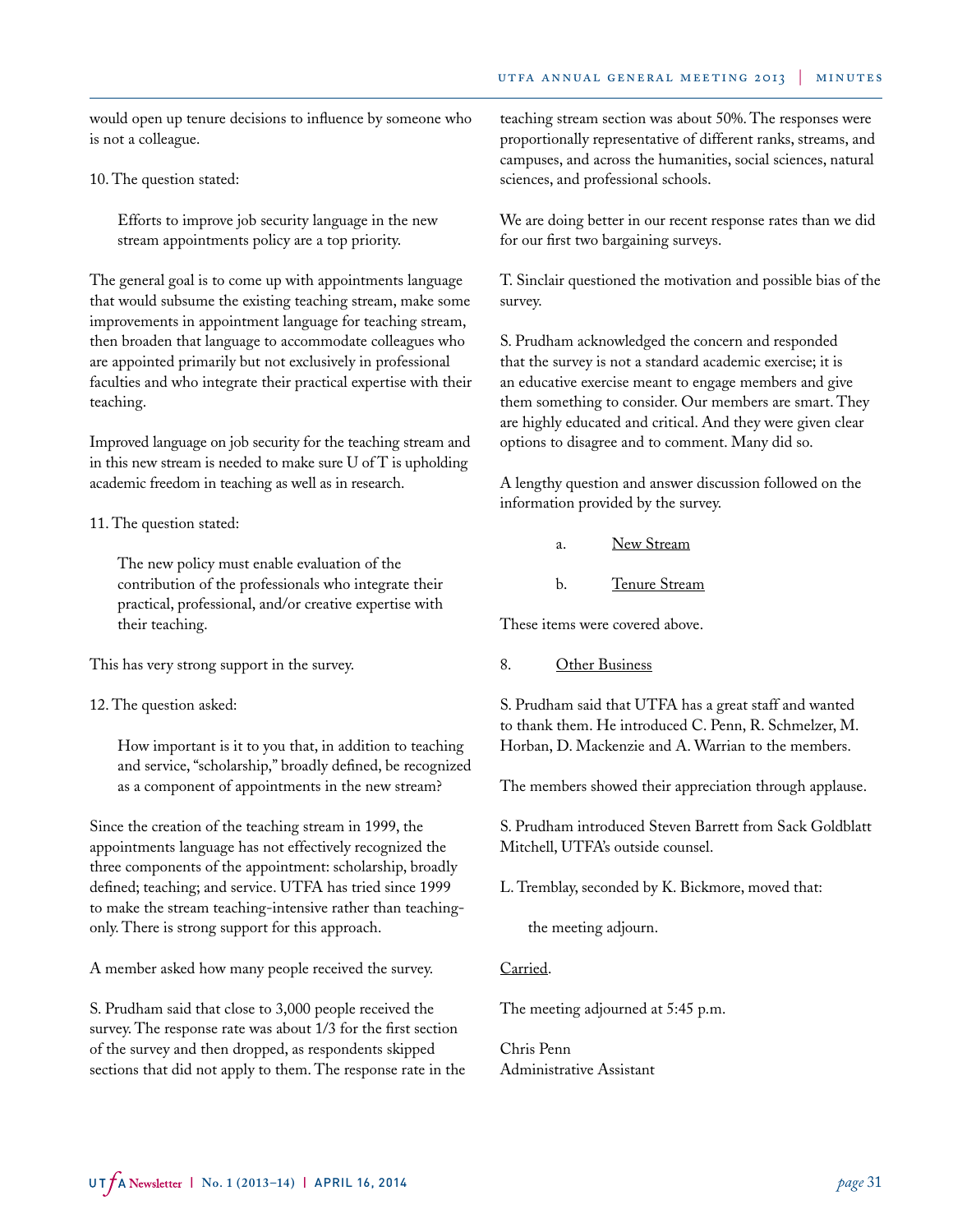would open up tenure decisions to influence by someone who is not a colleague.

10. The question stated:

Efforts to improve job security language in the new stream appointments policy are a top priority.

The general goal is to come up with appointments language that would subsume the existing teaching stream, make some improvements in appointment language for teaching stream, then broaden that language to accommodate colleagues who are appointed primarily but not exclusively in professional faculties and who integrate their practical expertise with their teaching.

Improved language on job security for the teaching stream and in this new stream is needed to make sure U of T is upholding academic freedom in teaching as well as in research.

11. The question stated:

The new policy must enable evaluation of the contribution of the professionals who integrate their practical, professional, and/or creative expertise with their teaching.

This has very strong support in the survey.

12. The question asked:

How important is it to you that, in addition to teaching and service, "scholarship," broadly defined, be recognized as a component of appointments in the new stream?

Since the creation of the teaching stream in 1999, the appointments language has not effectively recognized the three components of the appointment: scholarship, broadly defined; teaching; and service. UTFA has tried since 1999 to make the stream teaching-intensive rather than teachingonly. There is strong support for this approach.

A member asked how many people received the survey.

S. Prudham said that close to 3,000 people received the survey. The response rate was about 1/3 for the first section of the survey and then dropped, as respondents skipped sections that did not apply to them. The response rate in the teaching stream section was about 50%. The responses were proportionally representative of different ranks, streams, and campuses, and across the humanities, social sciences, natural sciences, and professional schools.

We are doing better in our recent response rates than we did for our first two bargaining surveys.

T. Sinclair questioned the motivation and possible bias of the survey.

S. Prudham acknowledged the concern and responded that the survey is not a standard academic exercise; it is an educative exercise meant to engage members and give them something to consider. Our members are smart. They are highly educated and critical. And they were given clear options to disagree and to comment. Many did so.

A lengthy question and answer discussion followed on the information provided by the survey.

- a. New Stream
- b. Tenure Stream

These items were covered above.

8. Other Business

S. Prudham said that UTFA has a great staff and wanted to thank them. He introduced C. Penn, R. Schmelzer, M. Horban, D. Mackenzie and A. Warrian to the members.

The members showed their appreciation through applause.

S. Prudham introduced Steven Barrett from Sack Goldblatt Mitchell, UTFA's outside counsel.

L. Tremblay, seconded by K. Bickmore, moved that:

the meeting adjourn.

## Carried.

The meeting adjourned at 5:45 p.m.

Chris Penn Administrative Assistant